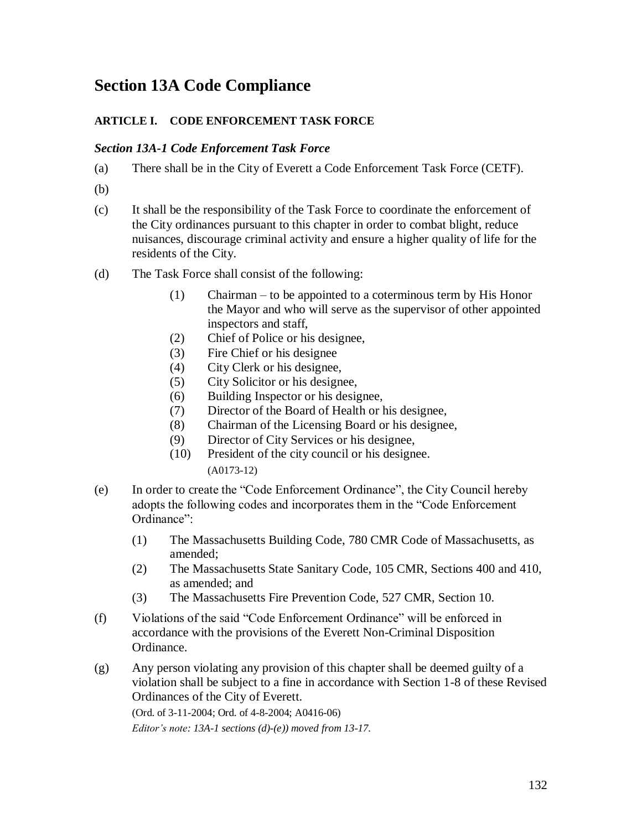# **Section 13A Code Compliance**

## **ARTICLE I. CODE ENFORCEMENT TASK FORCE**

## *Section 13A-1 Code Enforcement Task Force*

(a) There shall be in the City of Everett a Code Enforcement Task Force (CETF).

- (b)
- (c) It shall be the responsibility of the Task Force to coordinate the enforcement of the City ordinances pursuant to this chapter in order to combat blight, reduce nuisances, discourage criminal activity and ensure a higher quality of life for the residents of the City.
- (d) The Task Force shall consist of the following:
	- (1) Chairman to be appointed to a coterminous term by His Honor the Mayor and who will serve as the supervisor of other appointed inspectors and staff,
	- (2) Chief of Police or his designee,
	- (3) Fire Chief or his designee
	- (4) City Clerk or his designee,
	- (5) City Solicitor or his designee,
	- (6) Building Inspector or his designee,
	- (7) Director of the Board of Health or his designee,
	- (8) Chairman of the Licensing Board or his designee,
	- (9) Director of City Services or his designee,
	- (10) President of the city council or his designee. (A0173-12)
- (e) In order to create the "Code Enforcement Ordinance", the City Council hereby adopts the following codes and incorporates them in the "Code Enforcement Ordinance":
	- (1) The Massachusetts Building Code, 780 CMR Code of Massachusetts, as amended;
	- (2) The Massachusetts State Sanitary Code, 105 CMR, Sections 400 and 410, as amended; and
	- (3) The Massachusetts Fire Prevention Code, 527 CMR, Section 10.
- (f) Violations of the said "Code Enforcement Ordinance" will be enforced in accordance with the provisions of the Everett Non-Criminal Disposition Ordinance.
- (g) Any person violating any provision of this chapter shall be deemed guilty of a violation shall be subject to a fine in accordance with Section 1-8 of these Revised Ordinances of the City of Everett.

(Ord. of 3-11-2004; Ord. of 4-8-2004; A0416-06) *Editor's note: 13A-1 sections (d)-(e)) moved from 13-17.*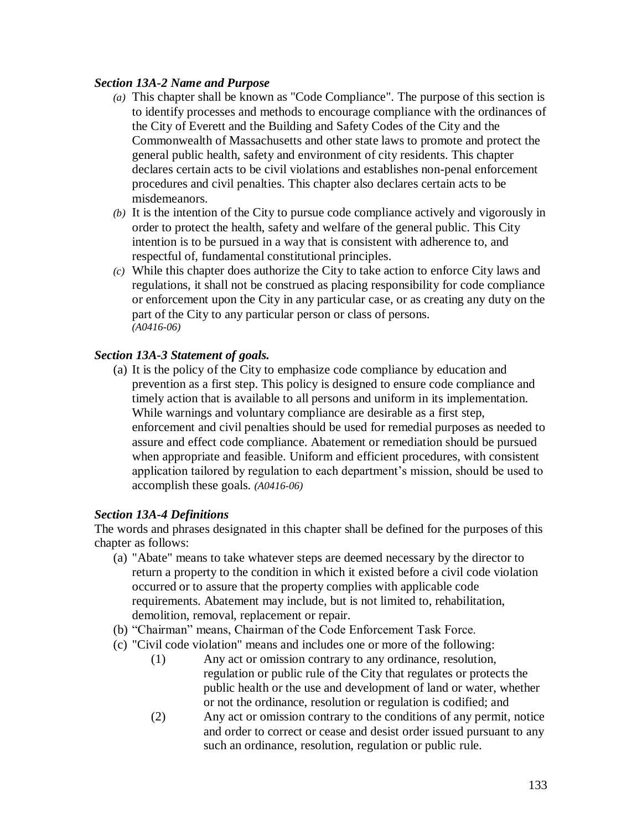## *Section 13A-2 Name and Purpose*

- *(a)* This chapter shall be known as "Code Compliance". The purpose of this section is to identify processes and methods to encourage compliance with the ordinances of the City of Everett and the Building and Safety Codes of the City and the Commonwealth of Massachusetts and other state laws to promote and protect the general public health, safety and environment of city residents. This chapter declares certain acts to be civil violations and establishes non-penal enforcement procedures and civil penalties. This chapter also declares certain acts to be misdemeanors.
- *(b)* It is the intention of the City to pursue code compliance actively and vigorously in order to protect the health, safety and welfare of the general public. This City intention is to be pursued in a way that is consistent with adherence to, and respectful of, fundamental constitutional principles.
- *(c)* While this chapter does authorize the City to take action to enforce City laws and regulations, it shall not be construed as placing responsibility for code compliance or enforcement upon the City in any particular case, or as creating any duty on the part of the City to any particular person or class of persons. *(A0416-06)*

## *Section 13A-3 Statement of goals.*

(a) It is the policy of the City to emphasize code compliance by education and prevention as a first step. This policy is designed to ensure code compliance and timely action that is available to all persons and uniform in its implementation. While warnings and voluntary compliance are desirable as a first step, enforcement and civil penalties should be used for remedial purposes as needed to assure and effect code compliance. Abatement or remediation should be pursued when appropriate and feasible. Uniform and efficient procedures, with consistent application tailored by regulation to each department's mission, should be used to accomplish these goals. *(A0416-06)*

## *Section 13A-4 Definitions*

The words and phrases designated in this chapter shall be defined for the purposes of this chapter as follows:

- (a) "Abate" means to take whatever steps are deemed necessary by the director to return a property to the condition in which it existed before a civil code violation occurred or to assure that the property complies with applicable code requirements. Abatement may include, but is not limited to, rehabilitation, demolition, removal, replacement or repair.
- (b) "Chairman" means, Chairman of the Code Enforcement Task Force.
- (c) "Civil code violation" means and includes one or more of the following:
	- (1) Any act or omission contrary to any ordinance, resolution, regulation or public rule of the City that regulates or protects the public health or the use and development of land or water, whether or not the ordinance, resolution or regulation is codified; and
	- (2) Any act or omission contrary to the conditions of any permit, notice and order to correct or cease and desist order issued pursuant to any such an ordinance, resolution, regulation or public rule.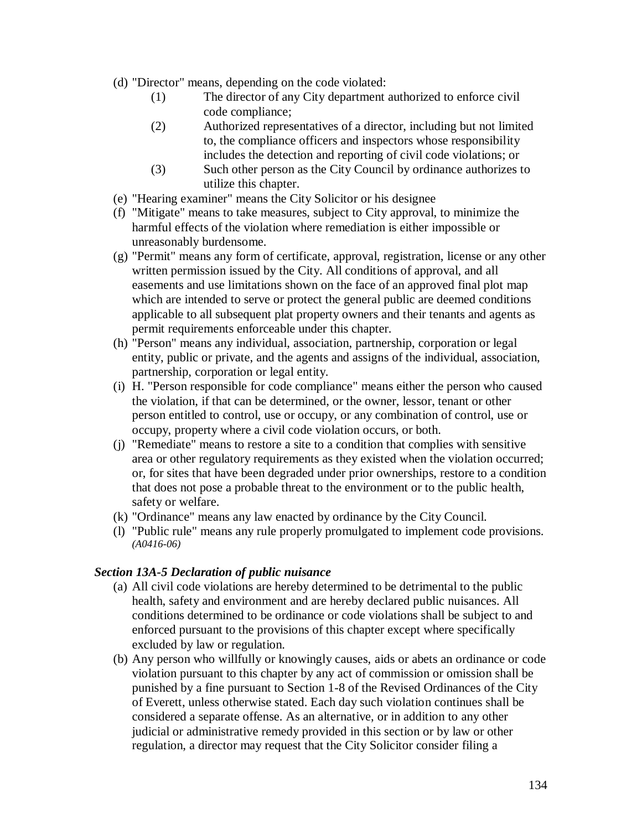- (d) "Director" means, depending on the code violated:
	- (1) The director of any City department authorized to enforce civil code compliance;
	- (2) Authorized representatives of a director, including but not limited to, the compliance officers and inspectors whose responsibility includes the detection and reporting of civil code violations; or
	- (3) Such other person as the City Council by ordinance authorizes to utilize this chapter.
- (e) "Hearing examiner" means the City Solicitor or his designee
- (f) "Mitigate" means to take measures, subject to City approval, to minimize the harmful effects of the violation where remediation is either impossible or unreasonably burdensome.
- (g) "Permit" means any form of certificate, approval, registration, license or any other written permission issued by the City. All conditions of approval, and all easements and use limitations shown on the face of an approved final plot map which are intended to serve or protect the general public are deemed conditions applicable to all subsequent plat property owners and their tenants and agents as permit requirements enforceable under this chapter.
- (h) "Person" means any individual, association, partnership, corporation or legal entity, public or private, and the agents and assigns of the individual, association, partnership, corporation or legal entity.
- (i) H. "Person responsible for code compliance" means either the person who caused the violation, if that can be determined, or the owner, lessor, tenant or other person entitled to control, use or occupy, or any combination of control, use or occupy, property where a civil code violation occurs, or both.
- (j) "Remediate" means to restore a site to a condition that complies with sensitive area or other regulatory requirements as they existed when the violation occurred; or, for sites that have been degraded under prior ownerships, restore to a condition that does not pose a probable threat to the environment or to the public health, safety or welfare.
- (k) "Ordinance" means any law enacted by ordinance by the City Council.
- (l) "Public rule" means any rule properly promulgated to implement code provisions. *(A0416-06)*

## *Section 13A-5 Declaration of public nuisance*

- (a) All civil code violations are hereby determined to be detrimental to the public health, safety and environment and are hereby declared public nuisances. All conditions determined to be ordinance or code violations shall be subject to and enforced pursuant to the provisions of this chapter except where specifically excluded by law or regulation.
- (b) Any person who willfully or knowingly causes, aids or abets an ordinance or code violation pursuant to this chapter by any act of commission or omission shall be punished by a fine pursuant to Section 1-8 of the Revised Ordinances of the City of Everett, unless otherwise stated. Each day such violation continues shall be considered a separate offense. As an alternative, or in addition to any other judicial or administrative remedy provided in this section or by law or other regulation, a director may request that the City Solicitor consider filing a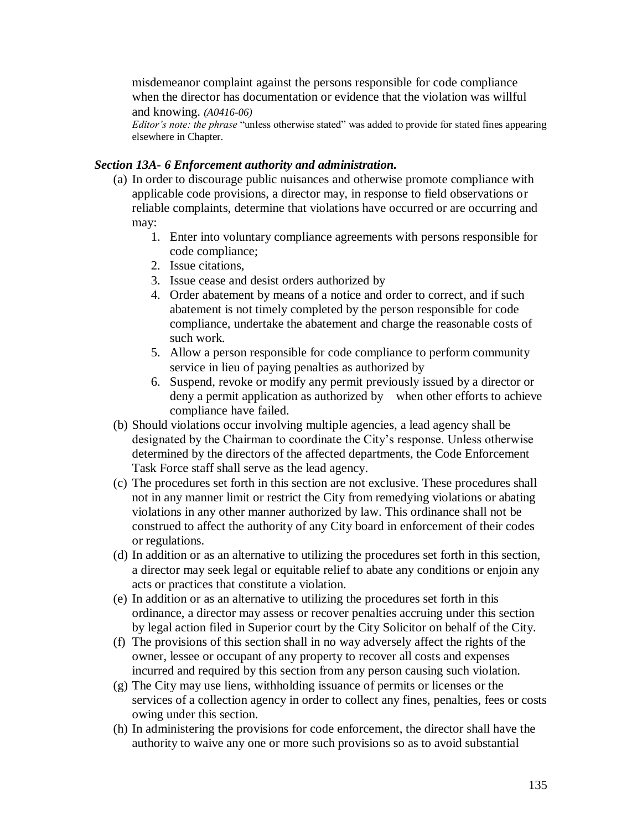misdemeanor complaint against the persons responsible for code compliance when the director has documentation or evidence that the violation was willful and knowing. *(A0416-06)*

*Editor's note: the phrase* "unless otherwise stated" was added to provide for stated fines appearing elsewhere in Chapter.

### *Section 13A- 6 Enforcement authority and administration.*

- (a) In order to discourage public nuisances and otherwise promote compliance with applicable code provisions, a director may, in response to field observations or reliable complaints, determine that violations have occurred or are occurring and may:
	- 1. Enter into voluntary compliance agreements with persons responsible for code compliance;
	- 2. Issue citations,
	- 3. Issue cease and desist orders authorized by
	- 4. Order abatement by means of a notice and order to correct, and if such abatement is not timely completed by the person responsible for code compliance, undertake the abatement and charge the reasonable costs of such work.
	- 5. Allow a person responsible for code compliance to perform community service in lieu of paying penalties as authorized by
	- 6. Suspend, revoke or modify any permit previously issued by a director or deny a permit application as authorized by when other efforts to achieve compliance have failed.
- (b) Should violations occur involving multiple agencies, a lead agency shall be designated by the Chairman to coordinate the City's response. Unless otherwise determined by the directors of the affected departments, the Code Enforcement Task Force staff shall serve as the lead agency.
- (c) The procedures set forth in this section are not exclusive. These procedures shall not in any manner limit or restrict the City from remedying violations or abating violations in any other manner authorized by law. This ordinance shall not be construed to affect the authority of any City board in enforcement of their codes or regulations.
- (d) In addition or as an alternative to utilizing the procedures set forth in this section, a director may seek legal or equitable relief to abate any conditions or enjoin any acts or practices that constitute a violation.
- (e) In addition or as an alternative to utilizing the procedures set forth in this ordinance, a director may assess or recover penalties accruing under this section by legal action filed in Superior court by the City Solicitor on behalf of the City.
- (f) The provisions of this section shall in no way adversely affect the rights of the owner, lessee or occupant of any property to recover all costs and expenses incurred and required by this section from any person causing such violation.
- (g) The City may use liens, withholding issuance of permits or licenses or the services of a collection agency in order to collect any fines, penalties, fees or costs owing under this section.
- (h) In administering the provisions for code enforcement, the director shall have the authority to waive any one or more such provisions so as to avoid substantial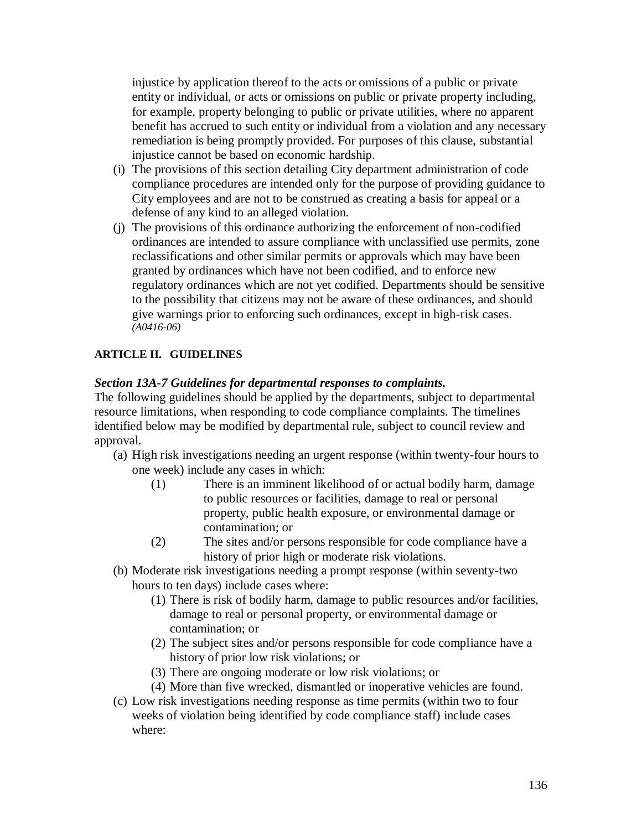injustice by application thereof to the acts or omissions of a public or private entity or individual, or acts or omissions on public or private property including, for example, property belonging to public or private utilities, where no apparent benefit has accrued to such entity or individual from a violation and any necessary remediation is being promptly provided. For purposes of this clause, substantial injustice cannot be based on economic hardship.

- (i) The provisions of this section detailing City department administration of code compliance procedures are intended only for the purpose of providing guidance to City employees and are not to be construed as creating a basis for appeal or a defense of any kind to an alleged violation.
- (j) The provisions of this ordinance authorizing the enforcement of non-codified ordinances are intended to assure compliance with unclassified use permits, zone reclassifications and other similar permits or approvals which may have been granted by ordinances which have not been codified, and to enforce new regulatory ordinances which are not yet codified. Departments should be sensitive to the possibility that citizens may not be aware of these ordinances, and should give warnings prior to enforcing such ordinances, except in high-risk cases. *(A0416-06)*

## **ARTICLE II. GUIDELINES**

## *Section 13A-7 Guidelines for departmental responses to complaints.*

The following guidelines should be applied by the departments, subject to departmental resource limitations, when responding to code compliance complaints. The timelines identified below may be modified by departmental rule, subject to council review and approval.

- (a) High risk investigations needing an urgent response (within twenty-four hours to one week) include any cases in which:
	- (1) There is an imminent likelihood of or actual bodily harm, damage to public resources or facilities, damage to real or personal property, public health exposure, or environmental damage or contamination; or
	- (2) The sites and/or persons responsible for code compliance have a history of prior high or moderate risk violations.
- (b) Moderate risk investigations needing a prompt response (within seventy-two hours to ten days) include cases where:
	- (1) There is risk of bodily harm, damage to public resources and/or facilities, damage to real or personal property, or environmental damage or contamination; or
	- (2) The subject sites and/or persons responsible for code compliance have a history of prior low risk violations; or
	- (3) There are ongoing moderate or low risk violations; or
	- (4) More than five wrecked, dismantled or inoperative vehicles are found.
- (c) Low risk investigations needing response as time permits (within two to four weeks of violation being identified by code compliance staff) include cases where: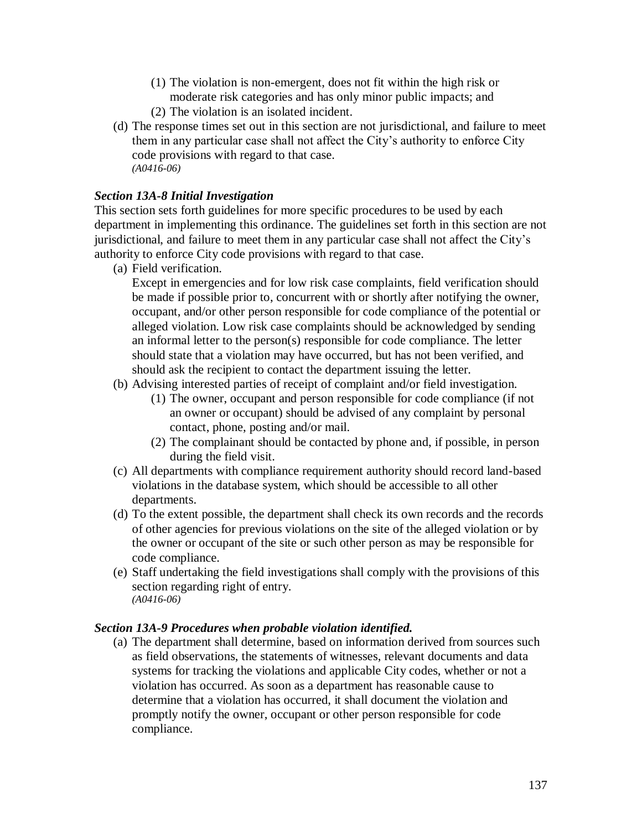- (1) The violation is non-emergent, does not fit within the high risk or moderate risk categories and has only minor public impacts; and (2) The violation is an isolated incident.
- (d) The response times set out in this section are not jurisdictional, and failure to meet them in any particular case shall not affect the City's authority to enforce City code provisions with regard to that case. *(A0416-06)*

## *Section 13A-8 Initial Investigation*

This section sets forth guidelines for more specific procedures to be used by each department in implementing this ordinance. The guidelines set forth in this section are not jurisdictional, and failure to meet them in any particular case shall not affect the City's authority to enforce City code provisions with regard to that case.

(a) Field verification.

Except in emergencies and for low risk case complaints, field verification should be made if possible prior to, concurrent with or shortly after notifying the owner, occupant, and/or other person responsible for code compliance of the potential or alleged violation. Low risk case complaints should be acknowledged by sending an informal letter to the person(s) responsible for code compliance. The letter should state that a violation may have occurred, but has not been verified, and should ask the recipient to contact the department issuing the letter.

- (b) Advising interested parties of receipt of complaint and/or field investigation.
	- (1) The owner, occupant and person responsible for code compliance (if not an owner or occupant) should be advised of any complaint by personal contact, phone, posting and/or mail.
	- (2) The complainant should be contacted by phone and, if possible, in person during the field visit.
- (c) All departments with compliance requirement authority should record land-based violations in the database system, which should be accessible to all other departments.
- (d) To the extent possible, the department shall check its own records and the records of other agencies for previous violations on the site of the alleged violation or by the owner or occupant of the site or such other person as may be responsible for code compliance.
- (e) Staff undertaking the field investigations shall comply with the provisions of this section regarding right of entry. *(A0416-06)*

## *Section 13A-9 Procedures when probable violation identified.*

(a) The department shall determine, based on information derived from sources such as field observations, the statements of witnesses, relevant documents and data systems for tracking the violations and applicable City codes, whether or not a violation has occurred. As soon as a department has reasonable cause to determine that a violation has occurred, it shall document the violation and promptly notify the owner, occupant or other person responsible for code compliance.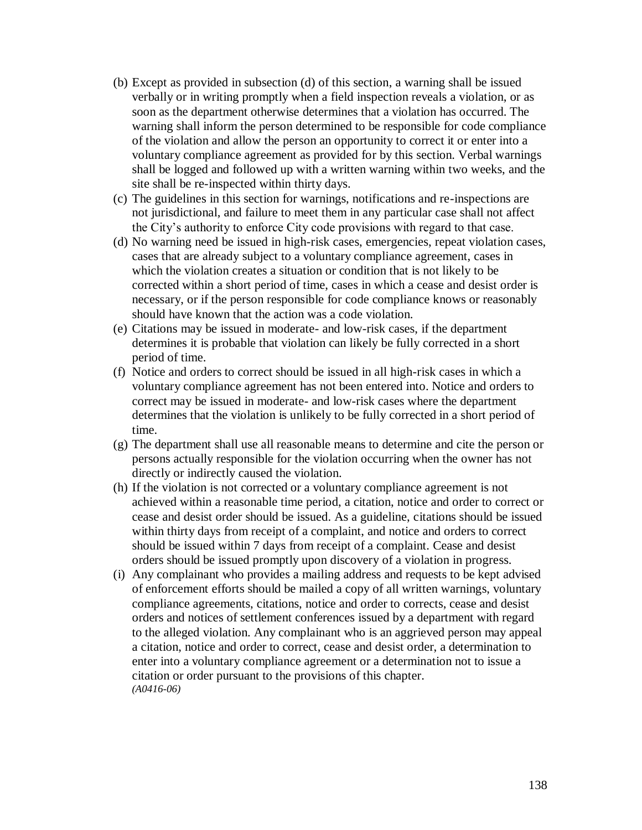- (b) Except as provided in subsection (d) of this section, a warning shall be issued verbally or in writing promptly when a field inspection reveals a violation, or as soon as the department otherwise determines that a violation has occurred. The warning shall inform the person determined to be responsible for code compliance of the violation and allow the person an opportunity to correct it or enter into a voluntary compliance agreement as provided for by this section. Verbal warnings shall be logged and followed up with a written warning within two weeks, and the site shall be re-inspected within thirty days.
- (c) The guidelines in this section for warnings, notifications and re-inspections are not jurisdictional, and failure to meet them in any particular case shall not affect the City's authority to enforce City code provisions with regard to that case.
- (d) No warning need be issued in high-risk cases, emergencies, repeat violation cases, cases that are already subject to a voluntary compliance agreement, cases in which the violation creates a situation or condition that is not likely to be corrected within a short period of time, cases in which a cease and desist order is necessary, or if the person responsible for code compliance knows or reasonably should have known that the action was a code violation.
- (e) Citations may be issued in moderate- and low-risk cases, if the department determines it is probable that violation can likely be fully corrected in a short period of time.
- (f) Notice and orders to correct should be issued in all high-risk cases in which a voluntary compliance agreement has not been entered into. Notice and orders to correct may be issued in moderate- and low-risk cases where the department determines that the violation is unlikely to be fully corrected in a short period of time.
- (g) The department shall use all reasonable means to determine and cite the person or persons actually responsible for the violation occurring when the owner has not directly or indirectly caused the violation.
- (h) If the violation is not corrected or a voluntary compliance agreement is not achieved within a reasonable time period, a citation, notice and order to correct or cease and desist order should be issued. As a guideline, citations should be issued within thirty days from receipt of a complaint, and notice and orders to correct should be issued within 7 days from receipt of a complaint. Cease and desist orders should be issued promptly upon discovery of a violation in progress.
- (i) Any complainant who provides a mailing address and requests to be kept advised of enforcement efforts should be mailed a copy of all written warnings, voluntary compliance agreements, citations, notice and order to corrects, cease and desist orders and notices of settlement conferences issued by a department with regard to the alleged violation. Any complainant who is an aggrieved person may appeal a citation, notice and order to correct, cease and desist order, a determination to enter into a voluntary compliance agreement or a determination not to issue a citation or order pursuant to the provisions of this chapter. *(A0416-06)*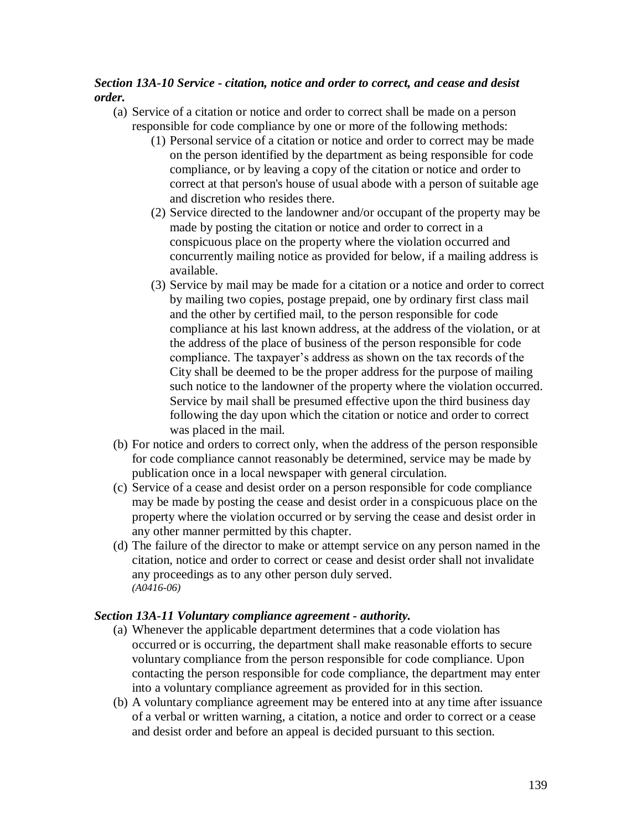## *Section 13A-10 Service - citation, notice and order to correct, and cease and desist order.*

- (a) Service of a citation or notice and order to correct shall be made on a person responsible for code compliance by one or more of the following methods:
	- (1) Personal service of a citation or notice and order to correct may be made on the person identified by the department as being responsible for code compliance, or by leaving a copy of the citation or notice and order to correct at that person's house of usual abode with a person of suitable age and discretion who resides there.
	- (2) Service directed to the landowner and/or occupant of the property may be made by posting the citation or notice and order to correct in a conspicuous place on the property where the violation occurred and concurrently mailing notice as provided for below, if a mailing address is available.
	- (3) Service by mail may be made for a citation or a notice and order to correct by mailing two copies, postage prepaid, one by ordinary first class mail and the other by certified mail, to the person responsible for code compliance at his last known address, at the address of the violation, or at the address of the place of business of the person responsible for code compliance. The taxpayer's address as shown on the tax records of the City shall be deemed to be the proper address for the purpose of mailing such notice to the landowner of the property where the violation occurred. Service by mail shall be presumed effective upon the third business day following the day upon which the citation or notice and order to correct was placed in the mail.
- (b) For notice and orders to correct only, when the address of the person responsible for code compliance cannot reasonably be determined, service may be made by publication once in a local newspaper with general circulation.
- (c) Service of a cease and desist order on a person responsible for code compliance may be made by posting the cease and desist order in a conspicuous place on the property where the violation occurred or by serving the cease and desist order in any other manner permitted by this chapter.
- (d) The failure of the director to make or attempt service on any person named in the citation, notice and order to correct or cease and desist order shall not invalidate any proceedings as to any other person duly served. *(A0416-06)*

## *Section 13A-11 Voluntary compliance agreement - authority.*

- (a) Whenever the applicable department determines that a code violation has occurred or is occurring, the department shall make reasonable efforts to secure voluntary compliance from the person responsible for code compliance. Upon contacting the person responsible for code compliance, the department may enter into a voluntary compliance agreement as provided for in this section.
- (b) A voluntary compliance agreement may be entered into at any time after issuance of a verbal or written warning, a citation, a notice and order to correct or a cease and desist order and before an appeal is decided pursuant to this section.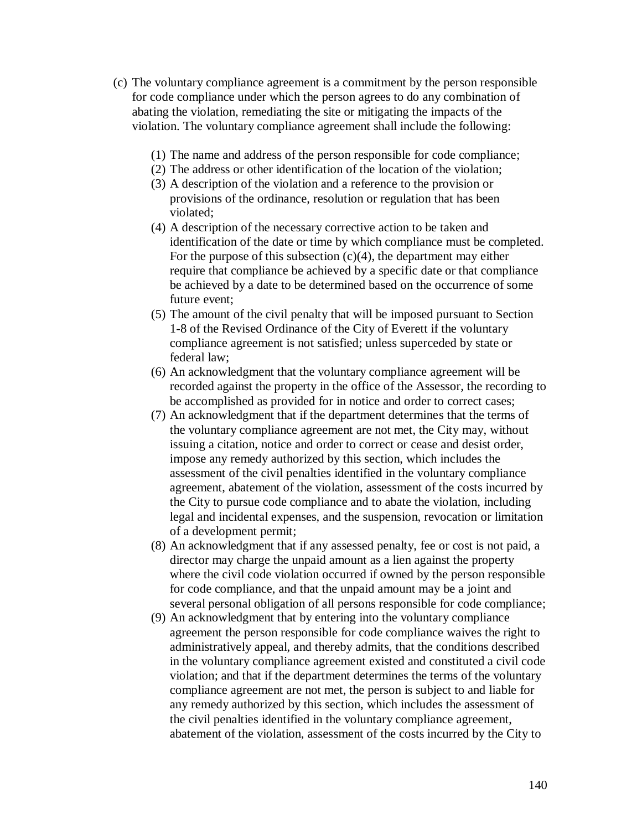- (c) The voluntary compliance agreement is a commitment by the person responsible for code compliance under which the person agrees to do any combination of abating the violation, remediating the site or mitigating the impacts of the violation. The voluntary compliance agreement shall include the following:
	- (1) The name and address of the person responsible for code compliance;
	- (2) The address or other identification of the location of the violation;
	- (3) A description of the violation and a reference to the provision or provisions of the ordinance, resolution or regulation that has been violated;
	- (4) A description of the necessary corrective action to be taken and identification of the date or time by which compliance must be completed. For the purpose of this subsection  $(c)(4)$ , the department may either require that compliance be achieved by a specific date or that compliance be achieved by a date to be determined based on the occurrence of some future event;
	- (5) The amount of the civil penalty that will be imposed pursuant to Section 1-8 of the Revised Ordinance of the City of Everett if the voluntary compliance agreement is not satisfied; unless superceded by state or federal law;
	- (6) An acknowledgment that the voluntary compliance agreement will be recorded against the property in the office of the Assessor, the recording to be accomplished as provided for in notice and order to correct cases;
	- (7) An acknowledgment that if the department determines that the terms of the voluntary compliance agreement are not met, the City may, without issuing a citation, notice and order to correct or cease and desist order, impose any remedy authorized by this section, which includes the assessment of the civil penalties identified in the voluntary compliance agreement, abatement of the violation, assessment of the costs incurred by the City to pursue code compliance and to abate the violation, including legal and incidental expenses, and the suspension, revocation or limitation of a development permit;
	- (8) An acknowledgment that if any assessed penalty, fee or cost is not paid, a director may charge the unpaid amount as a lien against the property where the civil code violation occurred if owned by the person responsible for code compliance, and that the unpaid amount may be a joint and several personal obligation of all persons responsible for code compliance;
	- (9) An acknowledgment that by entering into the voluntary compliance agreement the person responsible for code compliance waives the right to administratively appeal, and thereby admits, that the conditions described in the voluntary compliance agreement existed and constituted a civil code violation; and that if the department determines the terms of the voluntary compliance agreement are not met, the person is subject to and liable for any remedy authorized by this section, which includes the assessment of the civil penalties identified in the voluntary compliance agreement, abatement of the violation, assessment of the costs incurred by the City to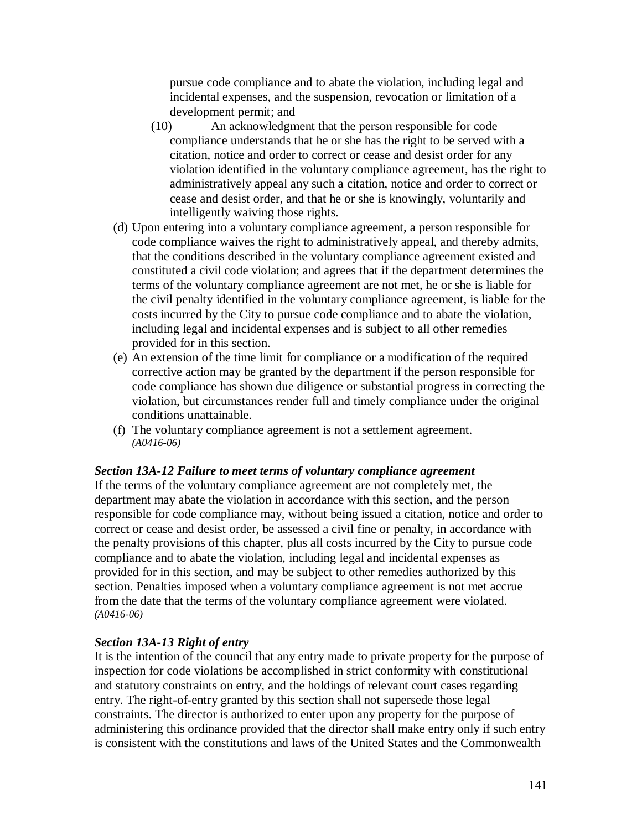pursue code compliance and to abate the violation, including legal and incidental expenses, and the suspension, revocation or limitation of a development permit; and

- (10) An acknowledgment that the person responsible for code compliance understands that he or she has the right to be served with a citation, notice and order to correct or cease and desist order for any violation identified in the voluntary compliance agreement, has the right to administratively appeal any such a citation, notice and order to correct or cease and desist order, and that he or she is knowingly, voluntarily and intelligently waiving those rights.
- (d) Upon entering into a voluntary compliance agreement, a person responsible for code compliance waives the right to administratively appeal, and thereby admits, that the conditions described in the voluntary compliance agreement existed and constituted a civil code violation; and agrees that if the department determines the terms of the voluntary compliance agreement are not met, he or she is liable for the civil penalty identified in the voluntary compliance agreement, is liable for the costs incurred by the City to pursue code compliance and to abate the violation, including legal and incidental expenses and is subject to all other remedies provided for in this section.
- (e) An extension of the time limit for compliance or a modification of the required corrective action may be granted by the department if the person responsible for code compliance has shown due diligence or substantial progress in correcting the violation, but circumstances render full and timely compliance under the original conditions unattainable.
- (f) The voluntary compliance agreement is not a settlement agreement. *(A0416-06)*

## *Section 13A-12 Failure to meet terms of voluntary compliance agreement*

If the terms of the voluntary compliance agreement are not completely met, the department may abate the violation in accordance with this section, and the person responsible for code compliance may, without being issued a citation, notice and order to correct or cease and desist order, be assessed a civil fine or penalty, in accordance with the penalty provisions of this chapter, plus all costs incurred by the City to pursue code compliance and to abate the violation, including legal and incidental expenses as provided for in this section, and may be subject to other remedies authorized by this section. Penalties imposed when a voluntary compliance agreement is not met accrue from the date that the terms of the voluntary compliance agreement were violated. *(A0416-06)*

## *Section 13A-13 Right of entry*

It is the intention of the council that any entry made to private property for the purpose of inspection for code violations be accomplished in strict conformity with constitutional and statutory constraints on entry, and the holdings of relevant court cases regarding entry. The right-of-entry granted by this section shall not supersede those legal constraints. The director is authorized to enter upon any property for the purpose of administering this ordinance provided that the director shall make entry only if such entry is consistent with the constitutions and laws of the United States and the Commonwealth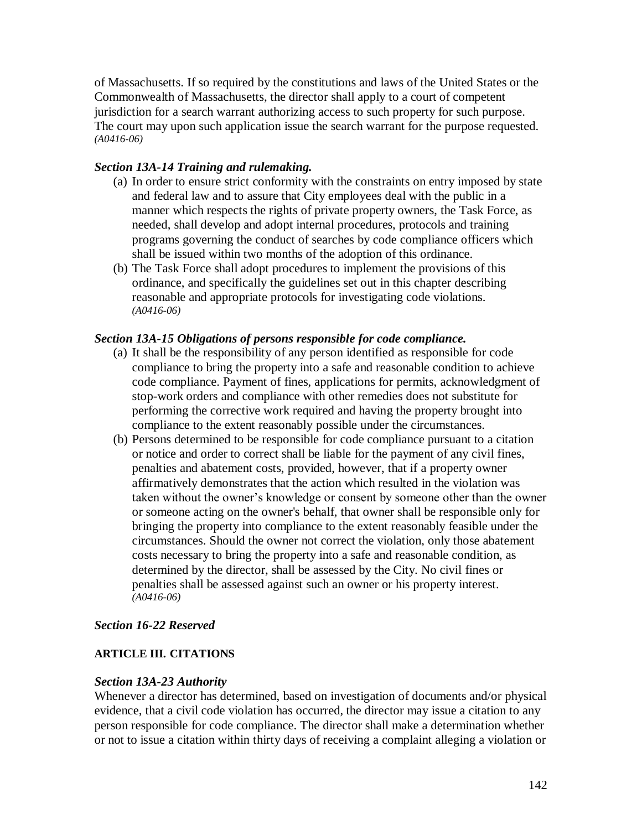of Massachusetts. If so required by the constitutions and laws of the United States or the Commonwealth of Massachusetts, the director shall apply to a court of competent jurisdiction for a search warrant authorizing access to such property for such purpose. The court may upon such application issue the search warrant for the purpose requested. *(A0416-06)*

## *Section 13A-14 Training and rulemaking.*

- (a) In order to ensure strict conformity with the constraints on entry imposed by state and federal law and to assure that City employees deal with the public in a manner which respects the rights of private property owners, the Task Force, as needed, shall develop and adopt internal procedures, protocols and training programs governing the conduct of searches by code compliance officers which shall be issued within two months of the adoption of this ordinance.
- (b) The Task Force shall adopt procedures to implement the provisions of this ordinance, and specifically the guidelines set out in this chapter describing reasonable and appropriate protocols for investigating code violations. *(A0416-06)*

## *Section 13A-15 Obligations of persons responsible for code compliance.*

- (a) It shall be the responsibility of any person identified as responsible for code compliance to bring the property into a safe and reasonable condition to achieve code compliance. Payment of fines, applications for permits, acknowledgment of stop-work orders and compliance with other remedies does not substitute for performing the corrective work required and having the property brought into compliance to the extent reasonably possible under the circumstances.
- (b) Persons determined to be responsible for code compliance pursuant to a citation or notice and order to correct shall be liable for the payment of any civil fines, penalties and abatement costs, provided, however, that if a property owner affirmatively demonstrates that the action which resulted in the violation was taken without the owner's knowledge or consent by someone other than the owner or someone acting on the owner's behalf, that owner shall be responsible only for bringing the property into compliance to the extent reasonably feasible under the circumstances. Should the owner not correct the violation, only those abatement costs necessary to bring the property into a safe and reasonable condition, as determined by the director, shall be assessed by the City. No civil fines or penalties shall be assessed against such an owner or his property interest. *(A0416-06)*

## *Section 16-22 Reserved*

#### **ARTICLE III. CITATIONS**

#### *Section 13A-23 Authority*

Whenever a director has determined, based on investigation of documents and/or physical evidence, that a civil code violation has occurred, the director may issue a citation to any person responsible for code compliance. The director shall make a determination whether or not to issue a citation within thirty days of receiving a complaint alleging a violation or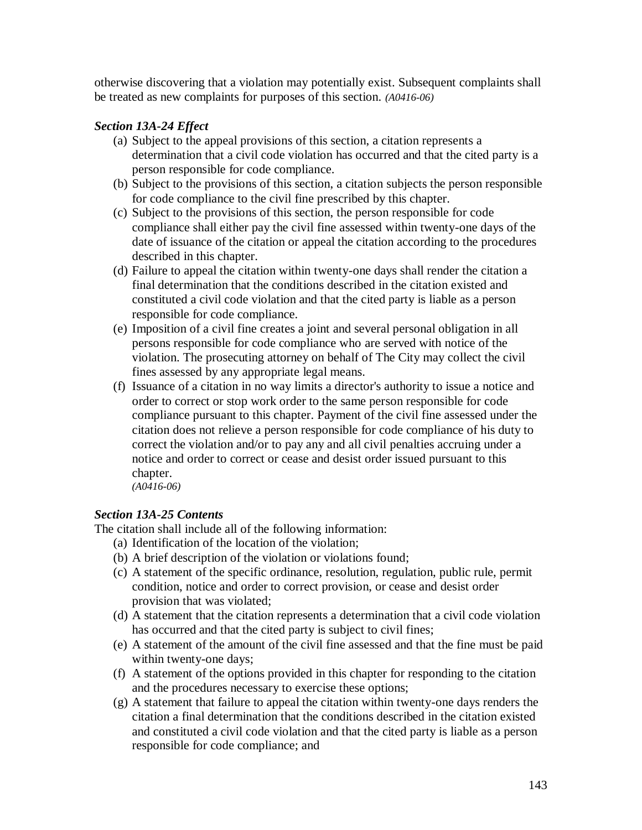otherwise discovering that a violation may potentially exist. Subsequent complaints shall be treated as new complaints for purposes of this section. *(A0416-06)*

## *Section 13A-24 Effect*

- (a) Subject to the appeal provisions of this section, a citation represents a determination that a civil code violation has occurred and that the cited party is a person responsible for code compliance.
- (b) Subject to the provisions of this section, a citation subjects the person responsible for code compliance to the civil fine prescribed by this chapter.
- (c) Subject to the provisions of this section, the person responsible for code compliance shall either pay the civil fine assessed within twenty-one days of the date of issuance of the citation or appeal the citation according to the procedures described in this chapter.
- (d) Failure to appeal the citation within twenty-one days shall render the citation a final determination that the conditions described in the citation existed and constituted a civil code violation and that the cited party is liable as a person responsible for code compliance.
- (e) Imposition of a civil fine creates a joint and several personal obligation in all persons responsible for code compliance who are served with notice of the violation. The prosecuting attorney on behalf of The City may collect the civil fines assessed by any appropriate legal means.
- (f) Issuance of a citation in no way limits a director's authority to issue a notice and order to correct or stop work order to the same person responsible for code compliance pursuant to this chapter. Payment of the civil fine assessed under the citation does not relieve a person responsible for code compliance of his duty to correct the violation and/or to pay any and all civil penalties accruing under a notice and order to correct or cease and desist order issued pursuant to this chapter.

*(A0416-06)*

## *Section 13A-25 Contents*

The citation shall include all of the following information:

- (a) Identification of the location of the violation;
- (b) A brief description of the violation or violations found;
- (c) A statement of the specific ordinance, resolution, regulation, public rule, permit condition, notice and order to correct provision, or cease and desist order provision that was violated;
- (d) A statement that the citation represents a determination that a civil code violation has occurred and that the cited party is subject to civil fines;
- (e) A statement of the amount of the civil fine assessed and that the fine must be paid within twenty-one days;
- (f) A statement of the options provided in this chapter for responding to the citation and the procedures necessary to exercise these options;
- (g) A statement that failure to appeal the citation within twenty-one days renders the citation a final determination that the conditions described in the citation existed and constituted a civil code violation and that the cited party is liable as a person responsible for code compliance; and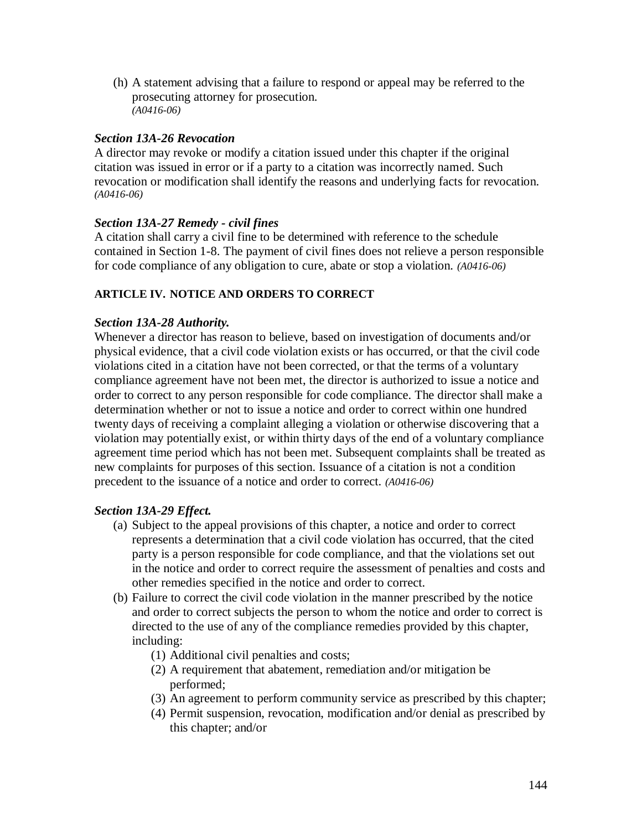(h) A statement advising that a failure to respond or appeal may be referred to the prosecuting attorney for prosecution. *(A0416-06)*

## *Section 13A-26 Revocation*

A director may revoke or modify a citation issued under this chapter if the original citation was issued in error or if a party to a citation was incorrectly named. Such revocation or modification shall identify the reasons and underlying facts for revocation. *(A0416-06)*

## *Section 13A-27 Remedy - civil fines*

A citation shall carry a civil fine to be determined with reference to the schedule contained in Section 1-8. The payment of civil fines does not relieve a person responsible for code compliance of any obligation to cure, abate or stop a violation. *(A0416-06)*

## **ARTICLE IV. NOTICE AND ORDERS TO CORRECT**

## *Section 13A-28 Authority.*

Whenever a director has reason to believe, based on investigation of documents and/or physical evidence, that a civil code violation exists or has occurred, or that the civil code violations cited in a citation have not been corrected, or that the terms of a voluntary compliance agreement have not been met, the director is authorized to issue a notice and order to correct to any person responsible for code compliance. The director shall make a determination whether or not to issue a notice and order to correct within one hundred twenty days of receiving a complaint alleging a violation or otherwise discovering that a violation may potentially exist, or within thirty days of the end of a voluntary compliance agreement time period which has not been met. Subsequent complaints shall be treated as new complaints for purposes of this section. Issuance of a citation is not a condition precedent to the issuance of a notice and order to correct. *(A0416-06)*

## *Section 13A-29 Effect.*

- (a) Subject to the appeal provisions of this chapter, a notice and order to correct represents a determination that a civil code violation has occurred, that the cited party is a person responsible for code compliance, and that the violations set out in the notice and order to correct require the assessment of penalties and costs and other remedies specified in the notice and order to correct.
- (b) Failure to correct the civil code violation in the manner prescribed by the notice and order to correct subjects the person to whom the notice and order to correct is directed to the use of any of the compliance remedies provided by this chapter, including:
	- (1) Additional civil penalties and costs;
	- (2) A requirement that abatement, remediation and/or mitigation be performed;
	- (3) An agreement to perform community service as prescribed by this chapter;
	- (4) Permit suspension, revocation, modification and/or denial as prescribed by this chapter; and/or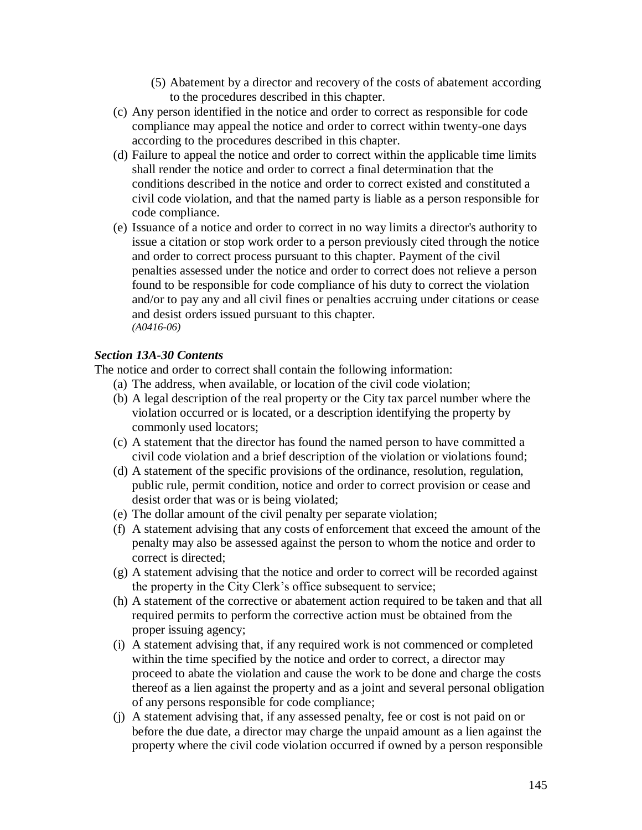- (5) Abatement by a director and recovery of the costs of abatement according to the procedures described in this chapter.
- (c) Any person identified in the notice and order to correct as responsible for code compliance may appeal the notice and order to correct within twenty-one days according to the procedures described in this chapter.
- (d) Failure to appeal the notice and order to correct within the applicable time limits shall render the notice and order to correct a final determination that the conditions described in the notice and order to correct existed and constituted a civil code violation, and that the named party is liable as a person responsible for code compliance.
- (e) Issuance of a notice and order to correct in no way limits a director's authority to issue a citation or stop work order to a person previously cited through the notice and order to correct process pursuant to this chapter. Payment of the civil penalties assessed under the notice and order to correct does not relieve a person found to be responsible for code compliance of his duty to correct the violation and/or to pay any and all civil fines or penalties accruing under citations or cease and desist orders issued pursuant to this chapter. *(A0416-06)*

## *Section 13A-30 Contents*

The notice and order to correct shall contain the following information:

- (a) The address, when available, or location of the civil code violation;
- (b) A legal description of the real property or the City tax parcel number where the violation occurred or is located, or a description identifying the property by commonly used locators;
- (c) A statement that the director has found the named person to have committed a civil code violation and a brief description of the violation or violations found;
- (d) A statement of the specific provisions of the ordinance, resolution, regulation, public rule, permit condition, notice and order to correct provision or cease and desist order that was or is being violated;
- (e) The dollar amount of the civil penalty per separate violation;
- (f) A statement advising that any costs of enforcement that exceed the amount of the penalty may also be assessed against the person to whom the notice and order to correct is directed;
- (g) A statement advising that the notice and order to correct will be recorded against the property in the City Clerk's office subsequent to service;
- (h) A statement of the corrective or abatement action required to be taken and that all required permits to perform the corrective action must be obtained from the proper issuing agency;
- (i) A statement advising that, if any required work is not commenced or completed within the time specified by the notice and order to correct, a director may proceed to abate the violation and cause the work to be done and charge the costs thereof as a lien against the property and as a joint and several personal obligation of any persons responsible for code compliance;
- (j) A statement advising that, if any assessed penalty, fee or cost is not paid on or before the due date, a director may charge the unpaid amount as a lien against the property where the civil code violation occurred if owned by a person responsible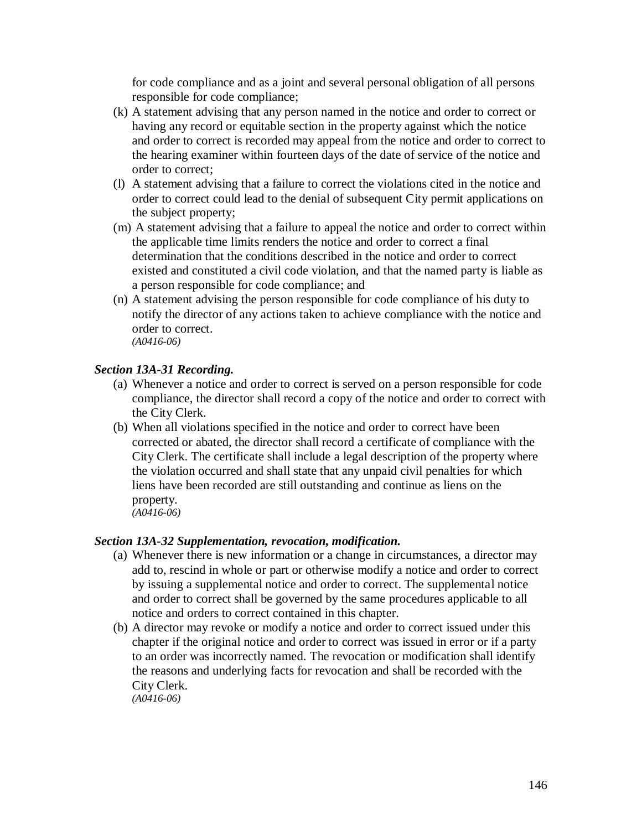for code compliance and as a joint and several personal obligation of all persons responsible for code compliance;

- (k) A statement advising that any person named in the notice and order to correct or having any record or equitable section in the property against which the notice and order to correct is recorded may appeal from the notice and order to correct to the hearing examiner within fourteen days of the date of service of the notice and order to correct;
- (l) A statement advising that a failure to correct the violations cited in the notice and order to correct could lead to the denial of subsequent City permit applications on the subject property;
- (m) A statement advising that a failure to appeal the notice and order to correct within the applicable time limits renders the notice and order to correct a final determination that the conditions described in the notice and order to correct existed and constituted a civil code violation, and that the named party is liable as a person responsible for code compliance; and
- (n) A statement advising the person responsible for code compliance of his duty to notify the director of any actions taken to achieve compliance with the notice and order to correct. *(A0416-06)*

## *Section 13A-31 Recording.*

- (a) Whenever a notice and order to correct is served on a person responsible for code compliance, the director shall record a copy of the notice and order to correct with the City Clerk.
- (b) When all violations specified in the notice and order to correct have been corrected or abated, the director shall record a certificate of compliance with the City Clerk. The certificate shall include a legal description of the property where the violation occurred and shall state that any unpaid civil penalties for which liens have been recorded are still outstanding and continue as liens on the property. *(A0416-06)*

## *Section 13A-32 Supplementation, revocation, modification.*

- (a) Whenever there is new information or a change in circumstances, a director may add to, rescind in whole or part or otherwise modify a notice and order to correct by issuing a supplemental notice and order to correct. The supplemental notice and order to correct shall be governed by the same procedures applicable to all notice and orders to correct contained in this chapter.
- (b) A director may revoke or modify a notice and order to correct issued under this chapter if the original notice and order to correct was issued in error or if a party to an order was incorrectly named. The revocation or modification shall identify the reasons and underlying facts for revocation and shall be recorded with the City Clerk.

*(A0416-06)*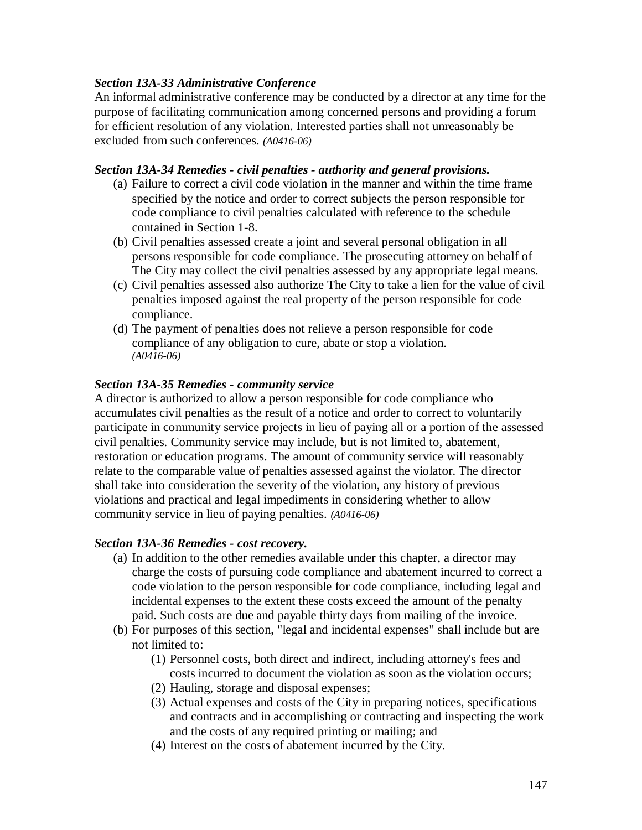## *Section 13A-33 Administrative Conference*

An informal administrative conference may be conducted by a director at any time for the purpose of facilitating communication among concerned persons and providing a forum for efficient resolution of any violation. Interested parties shall not unreasonably be excluded from such conferences. *(A0416-06)*

## *Section 13A-34 Remedies - civil penalties - authority and general provisions.*

- (a) Failure to correct a civil code violation in the manner and within the time frame specified by the notice and order to correct subjects the person responsible for code compliance to civil penalties calculated with reference to the schedule contained in Section 1-8.
- (b) Civil penalties assessed create a joint and several personal obligation in all persons responsible for code compliance. The prosecuting attorney on behalf of The City may collect the civil penalties assessed by any appropriate legal means.
- (c) Civil penalties assessed also authorize The City to take a lien for the value of civil penalties imposed against the real property of the person responsible for code compliance.
- (d) The payment of penalties does not relieve a person responsible for code compliance of any obligation to cure, abate or stop a violation. *(A0416-06)*

## *Section 13A-35 Remedies - community service*

A director is authorized to allow a person responsible for code compliance who accumulates civil penalties as the result of a notice and order to correct to voluntarily participate in community service projects in lieu of paying all or a portion of the assessed civil penalties. Community service may include, but is not limited to, abatement, restoration or education programs. The amount of community service will reasonably relate to the comparable value of penalties assessed against the violator. The director shall take into consideration the severity of the violation, any history of previous violations and practical and legal impediments in considering whether to allow community service in lieu of paying penalties. *(A0416-06)*

## *Section 13A-36 Remedies - cost recovery.*

- (a) In addition to the other remedies available under this chapter, a director may charge the costs of pursuing code compliance and abatement incurred to correct a code violation to the person responsible for code compliance, including legal and incidental expenses to the extent these costs exceed the amount of the penalty paid. Such costs are due and payable thirty days from mailing of the invoice.
- (b) For purposes of this section, "legal and incidental expenses" shall include but are not limited to:
	- (1) Personnel costs, both direct and indirect, including attorney's fees and costs incurred to document the violation as soon as the violation occurs;
	- (2) Hauling, storage and disposal expenses;
	- (3) Actual expenses and costs of the City in preparing notices, specifications and contracts and in accomplishing or contracting and inspecting the work and the costs of any required printing or mailing; and
	- (4) Interest on the costs of abatement incurred by the City.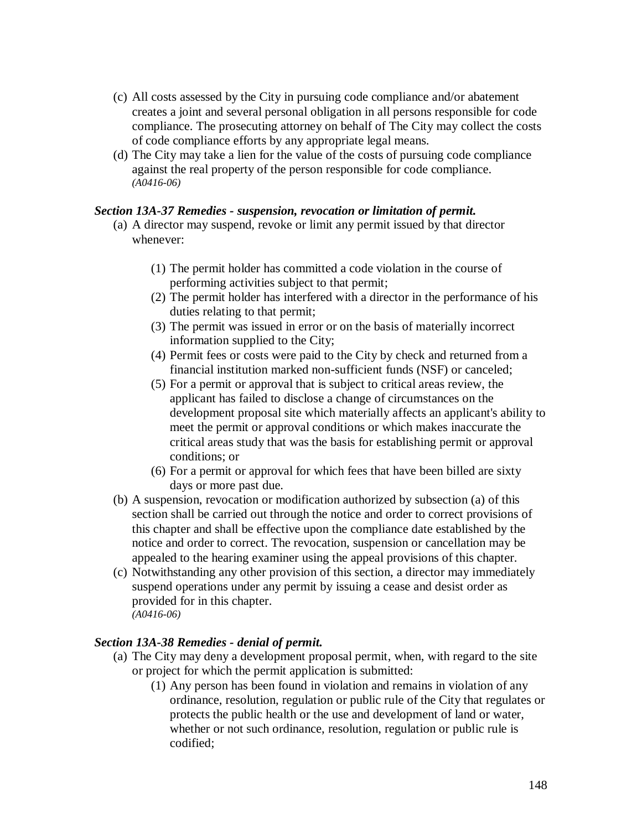- (c) All costs assessed by the City in pursuing code compliance and/or abatement creates a joint and several personal obligation in all persons responsible for code compliance. The prosecuting attorney on behalf of The City may collect the costs of code compliance efforts by any appropriate legal means.
- (d) The City may take a lien for the value of the costs of pursuing code compliance against the real property of the person responsible for code compliance. *(A0416-06)*

## *Section 13A-37 Remedies - suspension, revocation or limitation of permit.*

- (a) A director may suspend, revoke or limit any permit issued by that director whenever:
	- (1) The permit holder has committed a code violation in the course of performing activities subject to that permit;
	- (2) The permit holder has interfered with a director in the performance of his duties relating to that permit;
	- (3) The permit was issued in error or on the basis of materially incorrect information supplied to the City;
	- (4) Permit fees or costs were paid to the City by check and returned from a financial institution marked non-sufficient funds (NSF) or canceled;
	- (5) For a permit or approval that is subject to critical areas review, the applicant has failed to disclose a change of circumstances on the development proposal site which materially affects an applicant's ability to meet the permit or approval conditions or which makes inaccurate the critical areas study that was the basis for establishing permit or approval conditions; or
	- (6) For a permit or approval for which fees that have been billed are sixty days or more past due.
- (b) A suspension, revocation or modification authorized by subsection (a) of this section shall be carried out through the notice and order to correct provisions of this chapter and shall be effective upon the compliance date established by the notice and order to correct. The revocation, suspension or cancellation may be appealed to the hearing examiner using the appeal provisions of this chapter.
- (c) Notwithstanding any other provision of this section, a director may immediately suspend operations under any permit by issuing a cease and desist order as provided for in this chapter. *(A0416-06)*

## *Section 13A-38 Remedies - denial of permit.*

- (a) The City may deny a development proposal permit, when, with regard to the site or project for which the permit application is submitted:
	- (1) Any person has been found in violation and remains in violation of any ordinance, resolution, regulation or public rule of the City that regulates or protects the public health or the use and development of land or water, whether or not such ordinance, resolution, regulation or public rule is codified;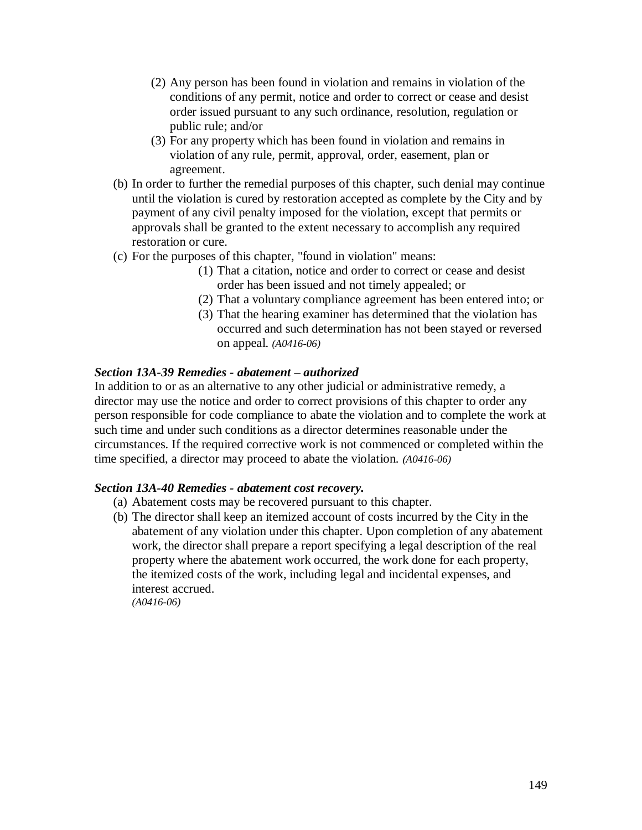- (2) Any person has been found in violation and remains in violation of the conditions of any permit, notice and order to correct or cease and desist order issued pursuant to any such ordinance, resolution, regulation or public rule; and/or
- (3) For any property which has been found in violation and remains in violation of any rule, permit, approval, order, easement, plan or agreement.
- (b) In order to further the remedial purposes of this chapter, such denial may continue until the violation is cured by restoration accepted as complete by the City and by payment of any civil penalty imposed for the violation, except that permits or approvals shall be granted to the extent necessary to accomplish any required restoration or cure.
- (c) For the purposes of this chapter, "found in violation" means:
	- (1) That a citation, notice and order to correct or cease and desist order has been issued and not timely appealed; or
	- (2) That a voluntary compliance agreement has been entered into; or
	- (3) That the hearing examiner has determined that the violation has occurred and such determination has not been stayed or reversed on appeal. *(A0416-06)*

## *Section 13A-39 Remedies - abatement – authorized*

In addition to or as an alternative to any other judicial or administrative remedy, a director may use the notice and order to correct provisions of this chapter to order any person responsible for code compliance to abate the violation and to complete the work at such time and under such conditions as a director determines reasonable under the circumstances. If the required corrective work is not commenced or completed within the time specified, a director may proceed to abate the violation. *(A0416-06)*

## *Section 13A-40 Remedies - abatement cost recovery.*

- (a) Abatement costs may be recovered pursuant to this chapter.
- (b) The director shall keep an itemized account of costs incurred by the City in the abatement of any violation under this chapter. Upon completion of any abatement work, the director shall prepare a report specifying a legal description of the real property where the abatement work occurred, the work done for each property, the itemized costs of the work, including legal and incidental expenses, and interest accrued.

*(A0416-06)*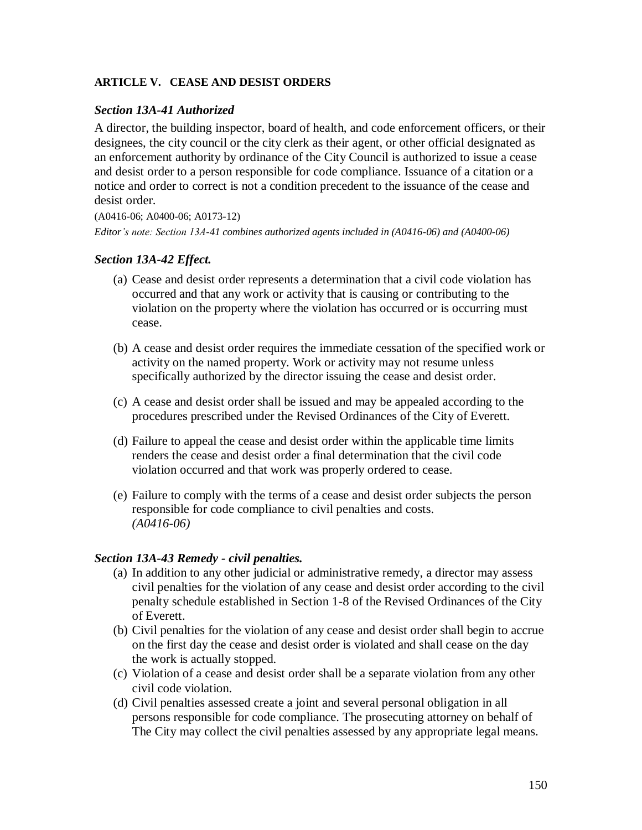## **ARTICLE V. CEASE AND DESIST ORDERS**

## *Section 13A-41 Authorized*

A director, the building inspector, board of health, and code enforcement officers, or their designees, the city council or the city clerk as their agent, or other official designated as an enforcement authority by ordinance of the City Council is authorized to issue a cease and desist order to a person responsible for code compliance. Issuance of a citation or a notice and order to correct is not a condition precedent to the issuance of the cease and desist order.

(A0416-06; A0400-06; A0173-12)

*Editor's note: Section 13A-41 combines authorized agents included in (A0416-06) and (A0400-06)*

## *Section 13A-42 Effect.*

- (a) Cease and desist order represents a determination that a civil code violation has occurred and that any work or activity that is causing or contributing to the violation on the property where the violation has occurred or is occurring must cease.
- (b) A cease and desist order requires the immediate cessation of the specified work or activity on the named property. Work or activity may not resume unless specifically authorized by the director issuing the cease and desist order.
- (c) A cease and desist order shall be issued and may be appealed according to the procedures prescribed under the Revised Ordinances of the City of Everett.
- (d) Failure to appeal the cease and desist order within the applicable time limits renders the cease and desist order a final determination that the civil code violation occurred and that work was properly ordered to cease.
- (e) Failure to comply with the terms of a cease and desist order subjects the person responsible for code compliance to civil penalties and costs. *(A0416-06)*

## *Section 13A-43 Remedy - civil penalties.*

- (a) In addition to any other judicial or administrative remedy, a director may assess civil penalties for the violation of any cease and desist order according to the civil penalty schedule established in Section 1-8 of the Revised Ordinances of the City of Everett.
- (b) Civil penalties for the violation of any cease and desist order shall begin to accrue on the first day the cease and desist order is violated and shall cease on the day the work is actually stopped.
- (c) Violation of a cease and desist order shall be a separate violation from any other civil code violation.
- (d) Civil penalties assessed create a joint and several personal obligation in all persons responsible for code compliance. The prosecuting attorney on behalf of The City may collect the civil penalties assessed by any appropriate legal means.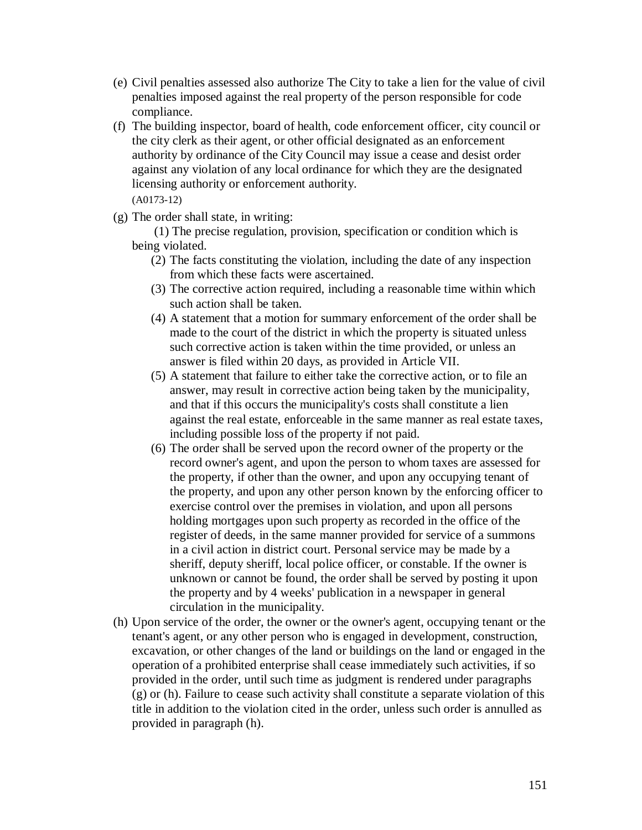- (e) Civil penalties assessed also authorize The City to take a lien for the value of civil penalties imposed against the real property of the person responsible for code compliance.
- (f) The building inspector, board of health, code enforcement officer, city council or the city clerk as their agent, or other official designated as an enforcement authority by ordinance of the City Council may issue a cease and desist order against any violation of any local ordinance for which they are the designated licensing authority or enforcement authority. (A0173-12)
- (g) The order shall state, in writing:

 (1) The precise regulation, provision, specification or condition which is being violated.

- (2) The facts constituting the violation, including the date of any inspection from which these facts were ascertained.
- (3) The corrective action required, including a reasonable time within which such action shall be taken.
- (4) A statement that a motion for summary enforcement of the order shall be made to the court of the district in which the property is situated unless such corrective action is taken within the time provided, or unless an answer is filed within 20 days, as provided in Article VII.
- (5) A statement that failure to either take the corrective action, or to file an answer, may result in corrective action being taken by the municipality, and that if this occurs the municipality's costs shall constitute a lien against the real estate, enforceable in the same manner as real estate taxes, including possible loss of the property if not paid.
- (6) The order shall be served upon the record owner of the property or the record owner's agent, and upon the person to whom taxes are assessed for the property, if other than the owner, and upon any occupying tenant of the property, and upon any other person known by the enforcing officer to exercise control over the premises in violation, and upon all persons holding mortgages upon such property as recorded in the office of the register of deeds, in the same manner provided for service of a summons in a civil action in district court. Personal service may be made by a sheriff, deputy sheriff, local police officer, or constable. If the owner is unknown or cannot be found, the order shall be served by posting it upon the property and by 4 weeks' publication in a newspaper in general circulation in the municipality.
- (h) Upon service of the order, the owner or the owner's agent, occupying tenant or the tenant's agent, or any other person who is engaged in development, construction, excavation, or other changes of the land or buildings on the land or engaged in the operation of a prohibited enterprise shall cease immediately such activities, if so provided in the order, until such time as judgment is rendered under paragraphs (g) or (h). Failure to cease such activity shall constitute a separate violation of this title in addition to the violation cited in the order, unless such order is annulled as provided in paragraph (h).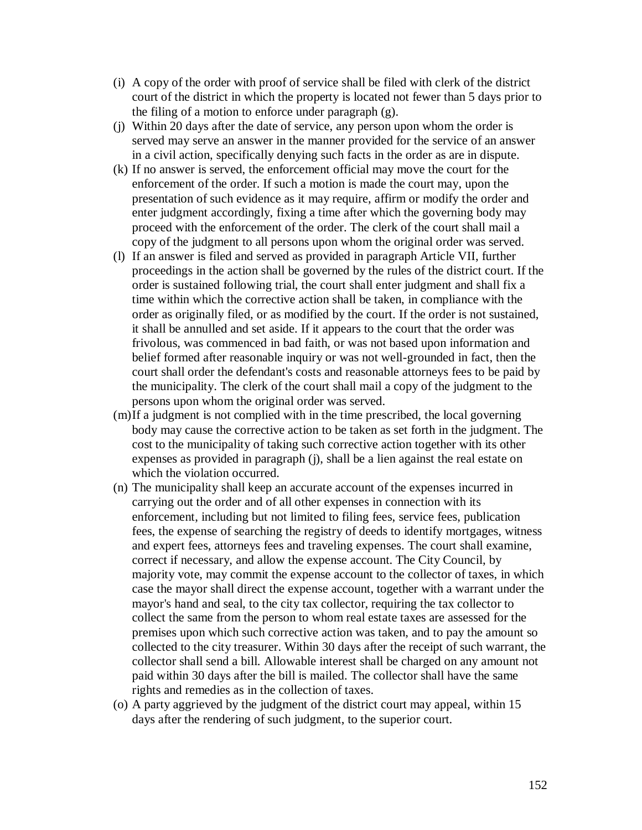- (i) A copy of the order with proof of service shall be filed with clerk of the district court of the district in which the property is located not fewer than 5 days prior to the filing of a motion to enforce under paragraph (g).
- (j) Within 20 days after the date of service, any person upon whom the order is served may serve an answer in the manner provided for the service of an answer in a civil action, specifically denying such facts in the order as are in dispute.
- (k) If no answer is served, the enforcement official may move the court for the enforcement of the order. If such a motion is made the court may, upon the presentation of such evidence as it may require, affirm or modify the order and enter judgment accordingly, fixing a time after which the governing body may proceed with the enforcement of the order. The clerk of the court shall mail a copy of the judgment to all persons upon whom the original order was served.
- (l) If an answer is filed and served as provided in paragraph Article VII, further proceedings in the action shall be governed by the rules of the district court. If the order is sustained following trial, the court shall enter judgment and shall fix a time within which the corrective action shall be taken, in compliance with the order as originally filed, or as modified by the court. If the order is not sustained, it shall be annulled and set aside. If it appears to the court that the order was frivolous, was commenced in bad faith, or was not based upon information and belief formed after reasonable inquiry or was not well-grounded in fact, then the court shall order the defendant's costs and reasonable attorneys fees to be paid by the municipality. The clerk of the court shall mail a copy of the judgment to the persons upon whom the original order was served.
- (m)If a judgment is not complied with in the time prescribed, the local governing body may cause the corrective action to be taken as set forth in the judgment. The cost to the municipality of taking such corrective action together with its other expenses as provided in paragraph (j), shall be a lien against the real estate on which the violation occurred.
- (n) The municipality shall keep an accurate account of the expenses incurred in carrying out the order and of all other expenses in connection with its enforcement, including but not limited to filing fees, service fees, publication fees, the expense of searching the registry of deeds to identify mortgages, witness and expert fees, attorneys fees and traveling expenses. The court shall examine, correct if necessary, and allow the expense account. The City Council, by majority vote, may commit the expense account to the collector of taxes, in which case the mayor shall direct the expense account, together with a warrant under the mayor's hand and seal, to the city tax collector, requiring the tax collector to collect the same from the person to whom real estate taxes are assessed for the premises upon which such corrective action was taken, and to pay the amount so collected to the city treasurer. Within 30 days after the receipt of such warrant, the collector shall send a bill. Allowable interest shall be charged on any amount not paid within 30 days after the bill is mailed. The collector shall have the same rights and remedies as in the collection of taxes.
- (o) A party aggrieved by the judgment of the district court may appeal, within 15 days after the rendering of such judgment, to the superior court.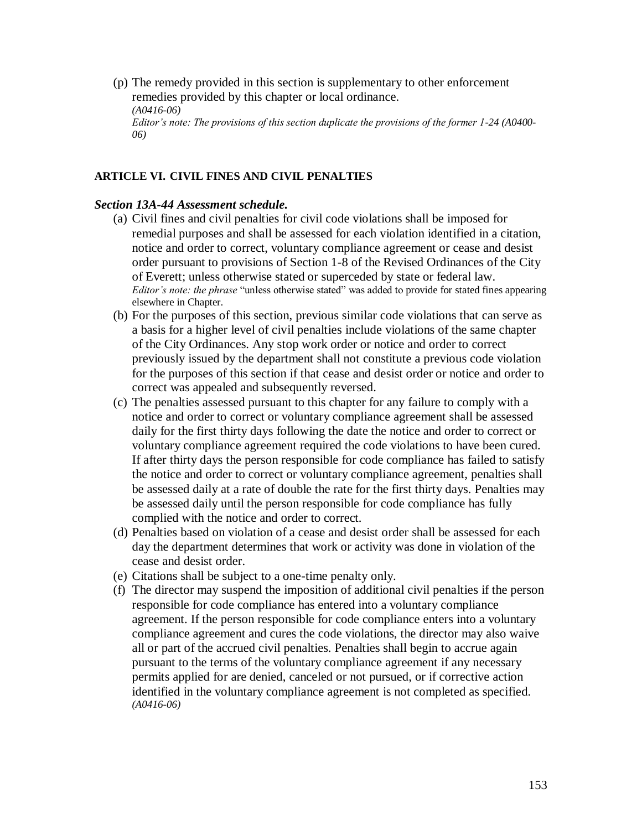(p) The remedy provided in this section is supplementary to other enforcement remedies provided by this chapter or local ordinance. *(A0416-06) Editor's note: The provisions of this section duplicate the provisions of the former 1-24 (A0400- 06)*

## **ARTICLE VI. CIVIL FINES AND CIVIL PENALTIES**

#### *Section 13A-44 Assessment schedule.*

- (a) Civil fines and civil penalties for civil code violations shall be imposed for remedial purposes and shall be assessed for each violation identified in a citation, notice and order to correct, voluntary compliance agreement or cease and desist order pursuant to provisions of Section 1-8 of the Revised Ordinances of the City of Everett; unless otherwise stated or superceded by state or federal law. *Editor's note: the phrase* "unless otherwise stated" was added to provide for stated fines appearing elsewhere in Chapter.
- (b) For the purposes of this section, previous similar code violations that can serve as a basis for a higher level of civil penalties include violations of the same chapter of the City Ordinances. Any stop work order or notice and order to correct previously issued by the department shall not constitute a previous code violation for the purposes of this section if that cease and desist order or notice and order to correct was appealed and subsequently reversed.
- (c) The penalties assessed pursuant to this chapter for any failure to comply with a notice and order to correct or voluntary compliance agreement shall be assessed daily for the first thirty days following the date the notice and order to correct or voluntary compliance agreement required the code violations to have been cured. If after thirty days the person responsible for code compliance has failed to satisfy the notice and order to correct or voluntary compliance agreement, penalties shall be assessed daily at a rate of double the rate for the first thirty days. Penalties may be assessed daily until the person responsible for code compliance has fully complied with the notice and order to correct.
- (d) Penalties based on violation of a cease and desist order shall be assessed for each day the department determines that work or activity was done in violation of the cease and desist order.
- (e) Citations shall be subject to a one-time penalty only.
- (f) The director may suspend the imposition of additional civil penalties if the person responsible for code compliance has entered into a voluntary compliance agreement. If the person responsible for code compliance enters into a voluntary compliance agreement and cures the code violations, the director may also waive all or part of the accrued civil penalties. Penalties shall begin to accrue again pursuant to the terms of the voluntary compliance agreement if any necessary permits applied for are denied, canceled or not pursued, or if corrective action identified in the voluntary compliance agreement is not completed as specified. *(A0416-06)*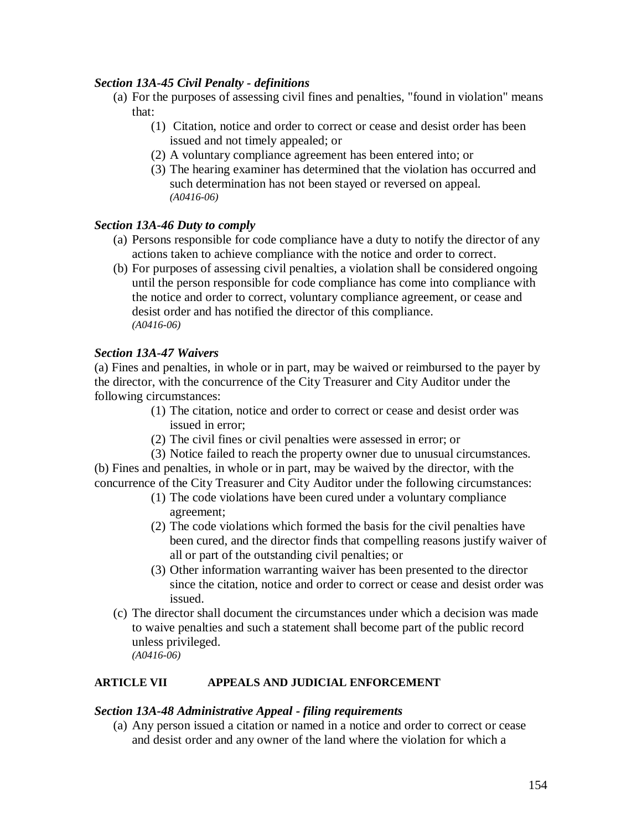## *Section 13A-45 Civil Penalty - definitions*

- (a) For the purposes of assessing civil fines and penalties, "found in violation" means that:
	- (1) Citation, notice and order to correct or cease and desist order has been issued and not timely appealed; or
	- (2) A voluntary compliance agreement has been entered into; or
	- (3) The hearing examiner has determined that the violation has occurred and such determination has not been stayed or reversed on appeal. *(A0416-06)*

## *Section 13A-46 Duty to comply*

- (a) Persons responsible for code compliance have a duty to notify the director of any actions taken to achieve compliance with the notice and order to correct.
- (b) For purposes of assessing civil penalties, a violation shall be considered ongoing until the person responsible for code compliance has come into compliance with the notice and order to correct, voluntary compliance agreement, or cease and desist order and has notified the director of this compliance. *(A0416-06)*

## *Section 13A-47 Waivers*

(a) Fines and penalties, in whole or in part, may be waived or reimbursed to the payer by the director, with the concurrence of the City Treasurer and City Auditor under the following circumstances:

- (1) The citation, notice and order to correct or cease and desist order was issued in error;
- (2) The civil fines or civil penalties were assessed in error; or
- (3) Notice failed to reach the property owner due to unusual circumstances. (b) Fines and penalties, in whole or in part, may be waived by the director, with the concurrence of the City Treasurer and City Auditor under the following circumstances:
	- (1) The code violations have been cured under a voluntary compliance agreement;
	- (2) The code violations which formed the basis for the civil penalties have been cured, and the director finds that compelling reasons justify waiver of all or part of the outstanding civil penalties; or
	- (3) Other information warranting waiver has been presented to the director since the citation, notice and order to correct or cease and desist order was issued.
	- (c) The director shall document the circumstances under which a decision was made to waive penalties and such a statement shall become part of the public record unless privileged. *(A0416-06)*

## **ARTICLE VII APPEALS AND JUDICIAL ENFORCEMENT**

## *Section 13A-48 Administrative Appeal - filing requirements*

(a) Any person issued a citation or named in a notice and order to correct or cease and desist order and any owner of the land where the violation for which a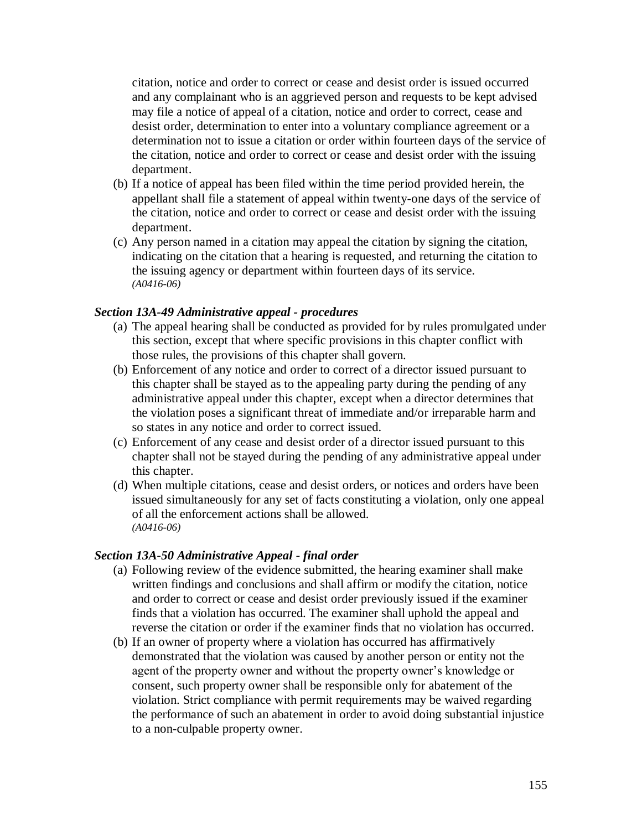citation, notice and order to correct or cease and desist order is issued occurred and any complainant who is an aggrieved person and requests to be kept advised may file a notice of appeal of a citation, notice and order to correct, cease and desist order, determination to enter into a voluntary compliance agreement or a determination not to issue a citation or order within fourteen days of the service of the citation, notice and order to correct or cease and desist order with the issuing department.

- (b) If a notice of appeal has been filed within the time period provided herein, the appellant shall file a statement of appeal within twenty-one days of the service of the citation, notice and order to correct or cease and desist order with the issuing department.
- (c) Any person named in a citation may appeal the citation by signing the citation, indicating on the citation that a hearing is requested, and returning the citation to the issuing agency or department within fourteen days of its service. *(A0416-06)*

#### *Section 13A-49 Administrative appeal - procedures*

- (a) The appeal hearing shall be conducted as provided for by rules promulgated under this section, except that where specific provisions in this chapter conflict with those rules, the provisions of this chapter shall govern.
- (b) Enforcement of any notice and order to correct of a director issued pursuant to this chapter shall be stayed as to the appealing party during the pending of any administrative appeal under this chapter, except when a director determines that the violation poses a significant threat of immediate and/or irreparable harm and so states in any notice and order to correct issued.
- (c) Enforcement of any cease and desist order of a director issued pursuant to this chapter shall not be stayed during the pending of any administrative appeal under this chapter.
- (d) When multiple citations, cease and desist orders, or notices and orders have been issued simultaneously for any set of facts constituting a violation, only one appeal of all the enforcement actions shall be allowed. *(A0416-06)*

#### *Section 13A-50 Administrative Appeal - final order*

- (a) Following review of the evidence submitted, the hearing examiner shall make written findings and conclusions and shall affirm or modify the citation, notice and order to correct or cease and desist order previously issued if the examiner finds that a violation has occurred. The examiner shall uphold the appeal and reverse the citation or order if the examiner finds that no violation has occurred.
- (b) If an owner of property where a violation has occurred has affirmatively demonstrated that the violation was caused by another person or entity not the agent of the property owner and without the property owner's knowledge or consent, such property owner shall be responsible only for abatement of the violation. Strict compliance with permit requirements may be waived regarding the performance of such an abatement in order to avoid doing substantial injustice to a non-culpable property owner.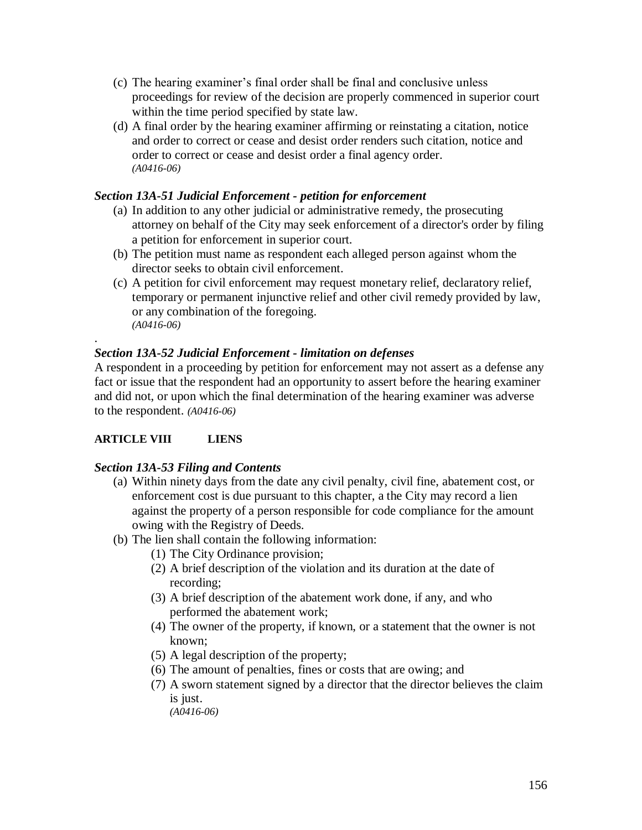- (c) The hearing examiner's final order shall be final and conclusive unless proceedings for review of the decision are properly commenced in superior court within the time period specified by state law.
- (d) A final order by the hearing examiner affirming or reinstating a citation, notice and order to correct or cease and desist order renders such citation, notice and order to correct or cease and desist order a final agency order. *(A0416-06)*

## *Section 13A-51 Judicial Enforcement - petition for enforcement*

- (a) In addition to any other judicial or administrative remedy, the prosecuting attorney on behalf of the City may seek enforcement of a director's order by filing a petition for enforcement in superior court.
- (b) The petition must name as respondent each alleged person against whom the director seeks to obtain civil enforcement.
- (c) A petition for civil enforcement may request monetary relief, declaratory relief, temporary or permanent injunctive relief and other civil remedy provided by law, or any combination of the foregoing. *(A0416-06)*

## *Section 13A-52 Judicial Enforcement - limitation on defenses*

A respondent in a proceeding by petition for enforcement may not assert as a defense any fact or issue that the respondent had an opportunity to assert before the hearing examiner and did not, or upon which the final determination of the hearing examiner was adverse to the respondent. *(A0416-06)*

## **ARTICLE VIII LIENS**

.

## *Section 13A-53 Filing and Contents*

- (a) Within ninety days from the date any civil penalty, civil fine, abatement cost, or enforcement cost is due pursuant to this chapter, a the City may record a lien against the property of a person responsible for code compliance for the amount owing with the Registry of Deeds.
- (b) The lien shall contain the following information:
	- (1) The City Ordinance provision;
	- (2) A brief description of the violation and its duration at the date of recording;
	- (3) A brief description of the abatement work done, if any, and who performed the abatement work;
	- (4) The owner of the property, if known, or a statement that the owner is not known;
	- (5) A legal description of the property;
	- (6) The amount of penalties, fines or costs that are owing; and
	- (7) A sworn statement signed by a director that the director believes the claim is just.

*(A0416-06)*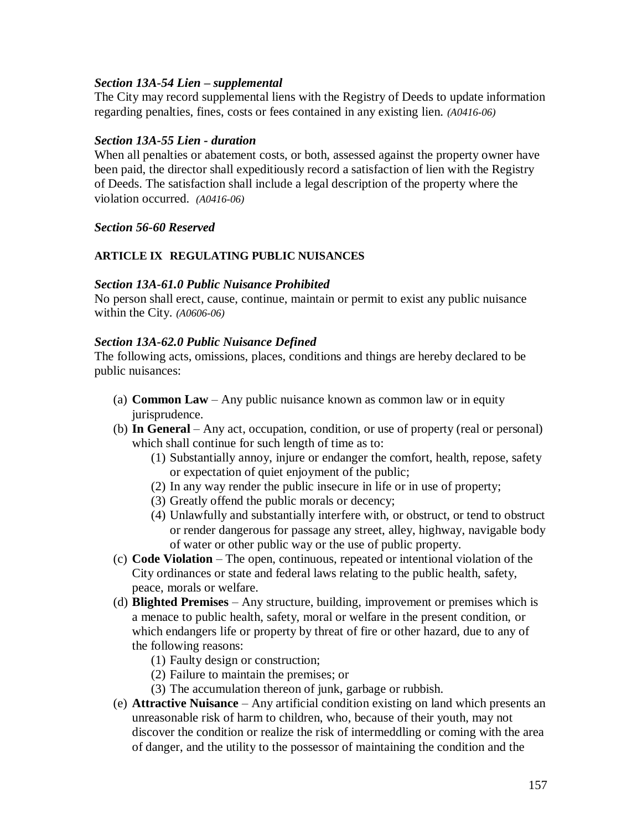## *Section 13A-54 Lien – supplemental*

The City may record supplemental liens with the Registry of Deeds to update information regarding penalties, fines, costs or fees contained in any existing lien. *(A0416-06)*

## *Section 13A-55 Lien - duration*

When all penalties or abatement costs, or both, assessed against the property owner have been paid, the director shall expeditiously record a satisfaction of lien with the Registry of Deeds. The satisfaction shall include a legal description of the property where the violation occurred. *(A0416-06)*

## *Section 56-60 Reserved*

## **ARTICLE IX REGULATING PUBLIC NUISANCES**

## *Section 13A-61.0 Public Nuisance Prohibited*

No person shall erect, cause, continue, maintain or permit to exist any public nuisance within the City. *(A0606-06)*

## *Section 13A-62.0 Public Nuisance Defined*

The following acts, omissions, places, conditions and things are hereby declared to be public nuisances:

- (a) **Common Law** Any public nuisance known as common law or in equity jurisprudence.
- (b) **In General** Any act, occupation, condition, or use of property (real or personal) which shall continue for such length of time as to:
	- (1) Substantially annoy, injure or endanger the comfort, health, repose, safety or expectation of quiet enjoyment of the public;
	- (2) In any way render the public insecure in life or in use of property;
	- (3) Greatly offend the public morals or decency;
	- (4) Unlawfully and substantially interfere with, or obstruct, or tend to obstruct or render dangerous for passage any street, alley, highway, navigable body of water or other public way or the use of public property.
- (c) **Code Violation** The open, continuous, repeated or intentional violation of the City ordinances or state and federal laws relating to the public health, safety, peace, morals or welfare.
- (d) **Blighted Premises** Any structure, building, improvement or premises which is a menace to public health, safety, moral or welfare in the present condition, or which endangers life or property by threat of fire or other hazard, due to any of the following reasons:
	- (1) Faulty design or construction;
	- (2) Failure to maintain the premises; or
	- (3) The accumulation thereon of junk, garbage or rubbish.
- (e) **Attractive Nuisance** Any artificial condition existing on land which presents an unreasonable risk of harm to children, who, because of their youth, may not discover the condition or realize the risk of intermeddling or coming with the area of danger, and the utility to the possessor of maintaining the condition and the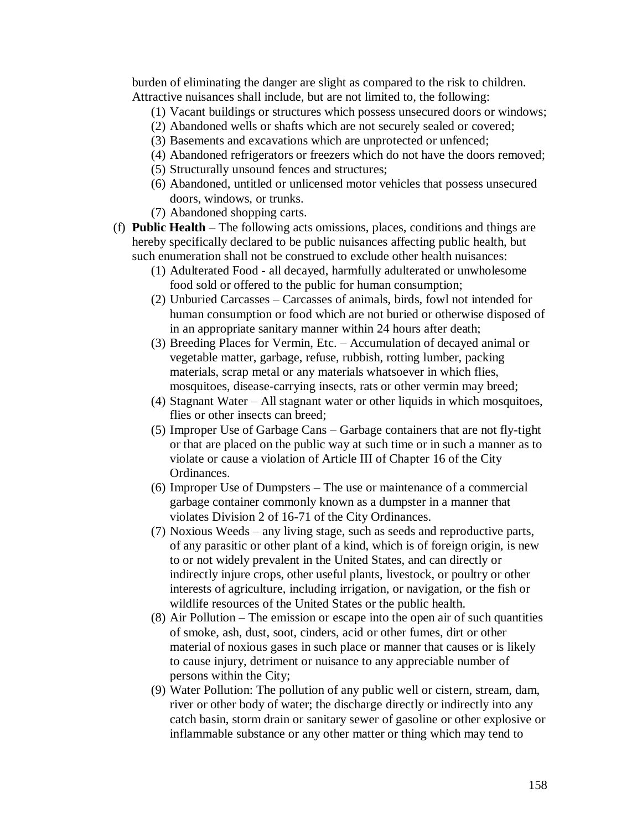burden of eliminating the danger are slight as compared to the risk to children. Attractive nuisances shall include, but are not limited to, the following:

- (1) Vacant buildings or structures which possess unsecured doors or windows;
- (2) Abandoned wells or shafts which are not securely sealed or covered;
- (3) Basements and excavations which are unprotected or unfenced;
- (4) Abandoned refrigerators or freezers which do not have the doors removed;
- (5) Structurally unsound fences and structures;
- (6) Abandoned, untitled or unlicensed motor vehicles that possess unsecured doors, windows, or trunks.
- (7) Abandoned shopping carts.
- (f) **Public Health**  The following acts omissions, places, conditions and things are hereby specifically declared to be public nuisances affecting public health, but such enumeration shall not be construed to exclude other health nuisances:
	- (1) Adulterated Food all decayed, harmfully adulterated or unwholesome food sold or offered to the public for human consumption;
	- (2) Unburied Carcasses Carcasses of animals, birds, fowl not intended for human consumption or food which are not buried or otherwise disposed of in an appropriate sanitary manner within 24 hours after death;
	- (3) Breeding Places for Vermin, Etc. Accumulation of decayed animal or vegetable matter, garbage, refuse, rubbish, rotting lumber, packing materials, scrap metal or any materials whatsoever in which flies, mosquitoes, disease-carrying insects, rats or other vermin may breed;
	- (4) Stagnant Water All stagnant water or other liquids in which mosquitoes, flies or other insects can breed;
	- (5) Improper Use of Garbage Cans Garbage containers that are not fly-tight or that are placed on the public way at such time or in such a manner as to violate or cause a violation of Article III of Chapter 16 of the City Ordinances.
	- (6) Improper Use of Dumpsters The use or maintenance of a commercial garbage container commonly known as a dumpster in a manner that violates Division 2 of 16-71 of the City Ordinances.
	- (7) Noxious Weeds any living stage, such as seeds and reproductive parts, of any parasitic or other plant of a kind, which is of foreign origin, is new to or not widely prevalent in the United States, and can directly or indirectly injure crops, other useful plants, livestock, or poultry or other interests of agriculture, including irrigation, or navigation, or the fish or wildlife resources of the United States or the public health.
	- (8) Air Pollution The emission or escape into the open air of such quantities of smoke, ash, dust, soot, cinders, acid or other fumes, dirt or other material of noxious gases in such place or manner that causes or is likely to cause injury, detriment or nuisance to any appreciable number of persons within the City;
	- (9) Water Pollution: The pollution of any public well or cistern, stream, dam, river or other body of water; the discharge directly or indirectly into any catch basin, storm drain or sanitary sewer of gasoline or other explosive or inflammable substance or any other matter or thing which may tend to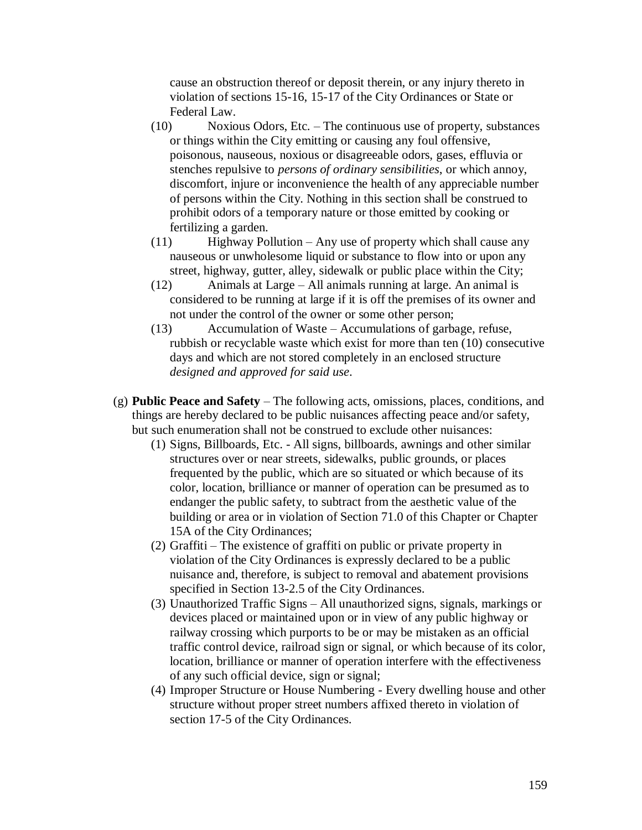cause an obstruction thereof or deposit therein, or any injury thereto in violation of sections 15-16, 15-17 of the City Ordinances or State or Federal Law.

- (10) Noxious Odors, Etc. The continuous use of property, substances or things within the City emitting or causing any foul offensive, poisonous, nauseous, noxious or disagreeable odors, gases, effluvia or stenches repulsive to *persons of ordinary sensibilities*, or which annoy, discomfort, injure or inconvenience the health of any appreciable number of persons within the City. Nothing in this section shall be construed to prohibit odors of a temporary nature or those emitted by cooking or fertilizing a garden.
- (11) Highway Pollution Any use of property which shall cause any nauseous or unwholesome liquid or substance to flow into or upon any street, highway, gutter, alley, sidewalk or public place within the City;
- (12) Animals at Large All animals running at large. An animal is considered to be running at large if it is off the premises of its owner and not under the control of the owner or some other person;
- (13) Accumulation of Waste Accumulations of garbage, refuse, rubbish or recyclable waste which exist for more than ten (10) consecutive days and which are not stored completely in an enclosed structure *designed and approved for said use*.
- (g) **Public Peace and Safety** The following acts, omissions, places, conditions, and things are hereby declared to be public nuisances affecting peace and/or safety, but such enumeration shall not be construed to exclude other nuisances:
	- (1) Signs, Billboards, Etc. All signs, billboards, awnings and other similar structures over or near streets, sidewalks, public grounds, or places frequented by the public, which are so situated or which because of its color, location, brilliance or manner of operation can be presumed as to endanger the public safety, to subtract from the aesthetic value of the building or area or in violation of Section 71.0 of this Chapter or Chapter 15A of the City Ordinances;
	- (2) Graffiti The existence of graffiti on public or private property in violation of the City Ordinances is expressly declared to be a public nuisance and, therefore, is subject to removal and abatement provisions specified in Section 13-2.5 of the City Ordinances.
	- (3) Unauthorized Traffic Signs All unauthorized signs, signals, markings or devices placed or maintained upon or in view of any public highway or railway crossing which purports to be or may be mistaken as an official traffic control device, railroad sign or signal, or which because of its color, location, brilliance or manner of operation interfere with the effectiveness of any such official device, sign or signal;
	- (4) Improper Structure or House Numbering Every dwelling house and other structure without proper street numbers affixed thereto in violation of section 17-5 of the City Ordinances.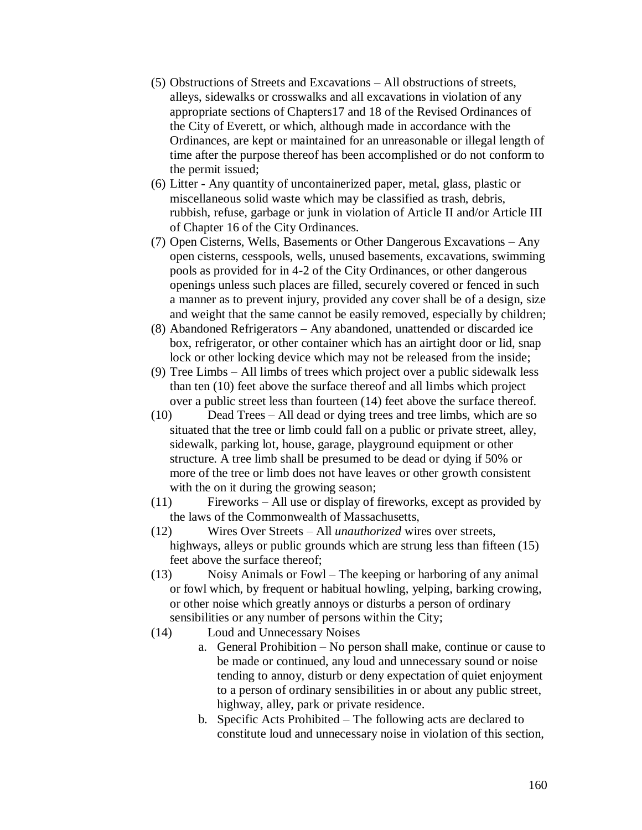- (5) Obstructions of Streets and Excavations All obstructions of streets, alleys, sidewalks or crosswalks and all excavations in violation of any appropriate sections of Chapters17 and 18 of the Revised Ordinances of the City of Everett, or which, although made in accordance with the Ordinances, are kept or maintained for an unreasonable or illegal length of time after the purpose thereof has been accomplished or do not conform to the permit issued;
- (6) Litter Any quantity of uncontainerized paper, metal, glass, plastic or miscellaneous solid waste which may be classified as trash, debris, rubbish, refuse, garbage or junk in violation of Article II and/or Article III of Chapter 16 of the City Ordinances.
- (7) Open Cisterns, Wells, Basements or Other Dangerous Excavations Any open cisterns, cesspools, wells, unused basements, excavations, swimming pools as provided for in 4-2 of the City Ordinances, or other dangerous openings unless such places are filled, securely covered or fenced in such a manner as to prevent injury, provided any cover shall be of a design, size and weight that the same cannot be easily removed, especially by children;
- (8) Abandoned Refrigerators Any abandoned, unattended or discarded ice box, refrigerator, or other container which has an airtight door or lid, snap lock or other locking device which may not be released from the inside;
- (9) Tree Limbs All limbs of trees which project over a public sidewalk less than ten (10) feet above the surface thereof and all limbs which project over a public street less than fourteen (14) feet above the surface thereof.
- (10) Dead Trees All dead or dying trees and tree limbs, which are so situated that the tree or limb could fall on a public or private street, alley, sidewalk, parking lot, house, garage, playground equipment or other structure. A tree limb shall be presumed to be dead or dying if 50% or more of the tree or limb does not have leaves or other growth consistent with the on it during the growing season;
- (11) Fireworks All use or display of fireworks, except as provided by the laws of the Commonwealth of Massachusetts,
- (12) Wires Over Streets All *unauthorized* wires over streets, highways, alleys or public grounds which are strung less than fifteen (15) feet above the surface thereof;
- (13) Noisy Animals or Fowl The keeping or harboring of any animal or fowl which, by frequent or habitual howling, yelping, barking crowing, or other noise which greatly annoys or disturbs a person of ordinary sensibilities or any number of persons within the City;
- (14) Loud and Unnecessary Noises
	- a. General Prohibition No person shall make, continue or cause to be made or continued, any loud and unnecessary sound or noise tending to annoy, disturb or deny expectation of quiet enjoyment to a person of ordinary sensibilities in or about any public street, highway, alley, park or private residence.
	- b. Specific Acts Prohibited The following acts are declared to constitute loud and unnecessary noise in violation of this section,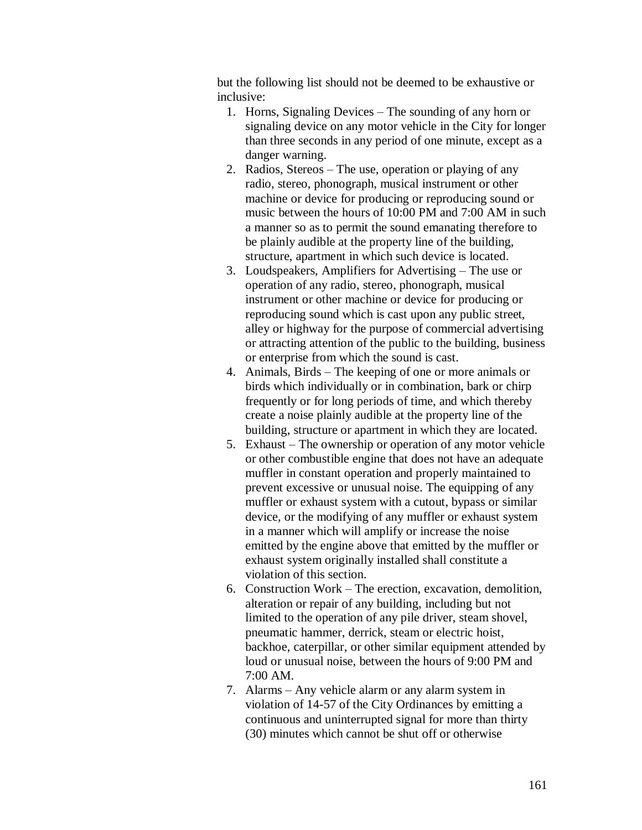but the following list should not be deemed to be exhaustive or inclusive:

- 1. Horns, Signaling Devices The sounding of any horn or signaling device on any motor vehicle in the City for longer than three seconds in any period of one minute, except as a danger warning.
- 2. Radios, Stereos The use, operation or playing of any radio, stereo, phonograph, musical instrument or other machine or device for producing or reproducing sound or music between the hours of 10:00 PM and 7:00 AM in such a manner so as to permit the sound emanating therefore to be plainly audible at the property line of the building, structure, apartment in which such device is located.
- 3. Loudspeakers, Amplifiers for Advertising The use or operation of any radio, stereo, phonograph, musical instrument or other machine or device for producing or reproducing sound which is cast upon any public street, alley or highway for the purpose of commercial advertising or attracting attention of the public to the building, business or enterprise from which the sound is cast.
- 4. Animals, Birds The keeping of one or more animals or birds which individually or in combination, bark or chirp frequently or for long periods of time, and which thereby create a noise plainly audible at the property line of the building, structure or apartment in which they are located.
- 5. Exhaust The ownership or operation of any motor vehicle or other combustible engine that does not have an adequate muffler in constant operation and properly maintained to prevent excessive or unusual noise. The equipping of any muffler or exhaust system with a cutout, bypass or similar device, or the modifying of any muffler or exhaust system in a manner which will amplify or increase the noise emitted by the engine above that emitted by the muffler or exhaust system originally installed shall constitute a violation of this section.
- 6. Construction Work The erection, excavation, demolition, alteration or repair of any building, including but not limited to the operation of any pile driver, steam shovel, pneumatic hammer, derrick, steam or electric hoist, backhoe, caterpillar, or other similar equipment attended by loud or unusual noise, between the hours of 9:00 PM and 7:00 AM.
- 7. Alarms Any vehicle alarm or any alarm system in violation of 14-57 of the City Ordinances by emitting a continuous and uninterrupted signal for more than thirty (30) minutes which cannot be shut off or otherwise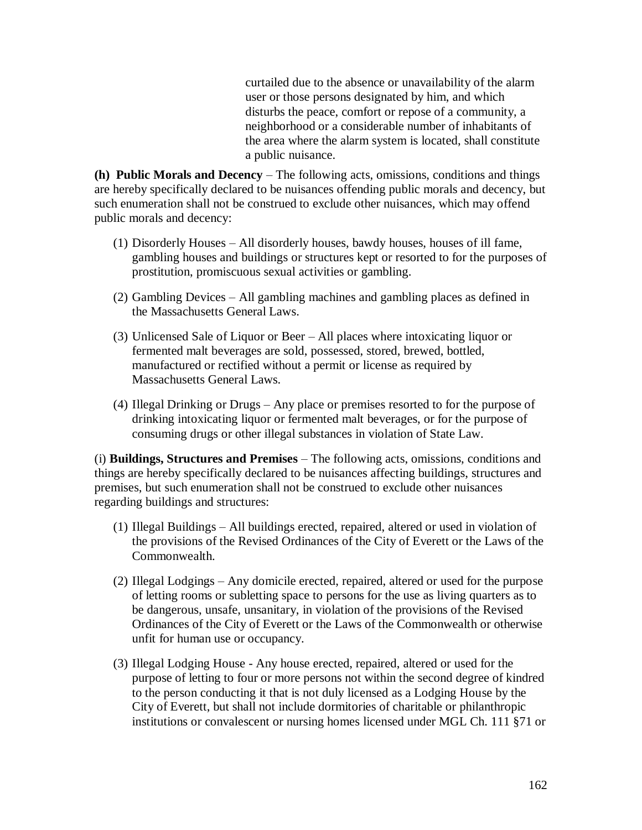curtailed due to the absence or unavailability of the alarm user or those persons designated by him, and which disturbs the peace, comfort or repose of a community, a neighborhood or a considerable number of inhabitants of the area where the alarm system is located, shall constitute a public nuisance.

**(h) Public Morals and Decency** – The following acts, omissions, conditions and things are hereby specifically declared to be nuisances offending public morals and decency, but such enumeration shall not be construed to exclude other nuisances, which may offend public morals and decency:

- (1) Disorderly Houses All disorderly houses, bawdy houses, houses of ill fame, gambling houses and buildings or structures kept or resorted to for the purposes of prostitution, promiscuous sexual activities or gambling.
- (2) Gambling Devices All gambling machines and gambling places as defined in the Massachusetts General Laws.
- (3) Unlicensed Sale of Liquor or Beer All places where intoxicating liquor or fermented malt beverages are sold, possessed, stored, brewed, bottled, manufactured or rectified without a permit or license as required by Massachusetts General Laws.
- (4) Illegal Drinking or Drugs Any place or premises resorted to for the purpose of drinking intoxicating liquor or fermented malt beverages, or for the purpose of consuming drugs or other illegal substances in violation of State Law.

(i) **Buildings, Structures and Premises** – The following acts, omissions, conditions and things are hereby specifically declared to be nuisances affecting buildings, structures and premises, but such enumeration shall not be construed to exclude other nuisances regarding buildings and structures:

- (1) Illegal Buildings All buildings erected, repaired, altered or used in violation of the provisions of the Revised Ordinances of the City of Everett or the Laws of the Commonwealth.
- (2) Illegal Lodgings Any domicile erected, repaired, altered or used for the purpose of letting rooms or subletting space to persons for the use as living quarters as to be dangerous, unsafe, unsanitary, in violation of the provisions of the Revised Ordinances of the City of Everett or the Laws of the Commonwealth or otherwise unfit for human use or occupancy.
- (3) Illegal Lodging House Any house erected, repaired, altered or used for the purpose of letting to four or more persons not within the second degree of kindred to the person conducting it that is not duly licensed as a Lodging House by the City of Everett, but shall not include dormitories of charitable or philanthropic institutions or convalescent or nursing homes licensed under MGL Ch. 111 §71 or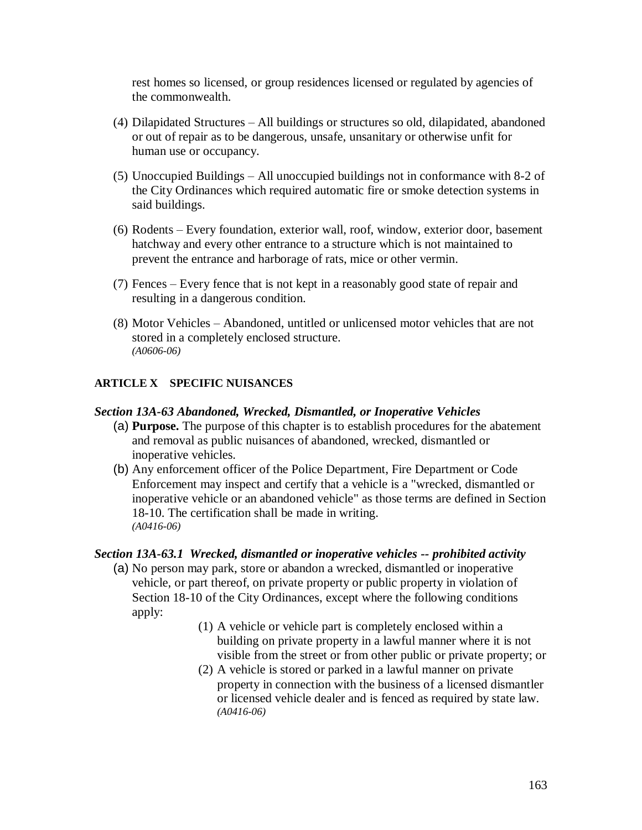rest homes so licensed, or group residences licensed or regulated by agencies of the commonwealth.

- (4) Dilapidated Structures All buildings or structures so old, dilapidated, abandoned or out of repair as to be dangerous, unsafe, unsanitary or otherwise unfit for human use or occupancy.
- (5) Unoccupied Buildings All unoccupied buildings not in conformance with 8-2 of the City Ordinances which required automatic fire or smoke detection systems in said buildings.
- (6) Rodents Every foundation, exterior wall, roof, window, exterior door, basement hatchway and every other entrance to a structure which is not maintained to prevent the entrance and harborage of rats, mice or other vermin.
- (7) Fences Every fence that is not kept in a reasonably good state of repair and resulting in a dangerous condition.
- (8) Motor Vehicles Abandoned, untitled or unlicensed motor vehicles that are not stored in a completely enclosed structure. *(A0606-06)*

#### **ARTICLE X SPECIFIC NUISANCES**

#### *Section 13A-63 Abandoned, Wrecked, Dismantled, or Inoperative Vehicles*

- (a) **Purpose.** The purpose of this chapter is to establish procedures for the abatement and removal as public nuisances of abandoned, wrecked, dismantled or inoperative vehicles.
- (b) Any enforcement officer of the Police Department, Fire Department or Code Enforcement may inspect and certify that a vehicle is a "wrecked, dismantled or inoperative vehicle or an abandoned vehicle" as those terms are defined in Section 18-10. The certification shall be made in writing. *(A0416-06)*

#### *Section 13A-63.1 Wrecked, dismantled or inoperative vehicles -- prohibited activity*

- (a) No person may park, store or abandon a wrecked, dismantled or inoperative vehicle, or part thereof, on private property or public property in violation of Section 18-10 of the City Ordinances, except where the following conditions apply:
	- (1) A vehicle or vehicle part is completely enclosed within a building on private property in a lawful manner where it is not visible from the street or from other public or private property; or
	- (2) A vehicle is stored or parked in a lawful manner on private property in connection with the business of a licensed dismantler or licensed vehicle dealer and is fenced as required by state law. *(A0416-06)*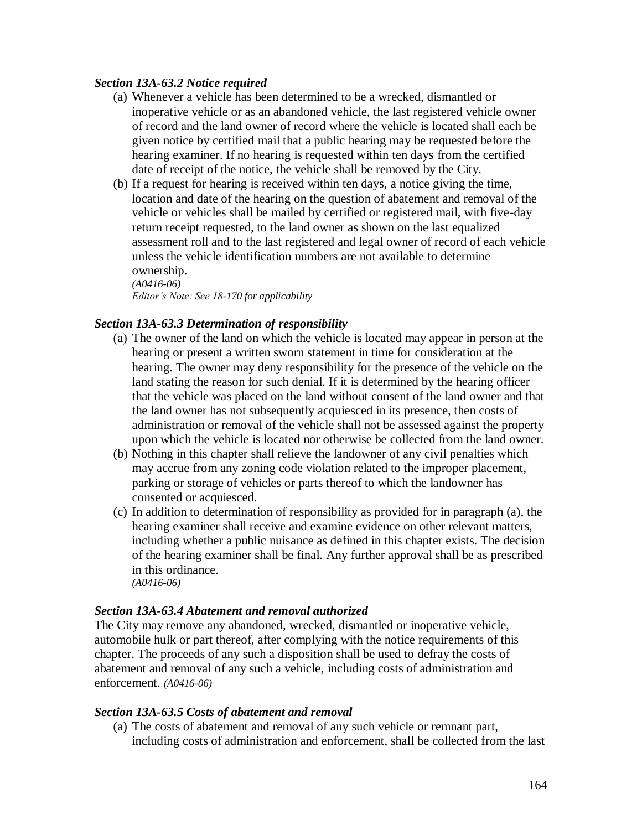## *Section 13A-63.2 Notice required*

- (a) Whenever a vehicle has been determined to be a wrecked, dismantled or inoperative vehicle or as an abandoned vehicle, the last registered vehicle owner of record and the land owner of record where the vehicle is located shall each be given notice by certified mail that a public hearing may be requested before the hearing examiner. If no hearing is requested within ten days from the certified date of receipt of the notice, the vehicle shall be removed by the City.
- (b) If a request for hearing is received within ten days, a notice giving the time, location and date of the hearing on the question of abatement and removal of the vehicle or vehicles shall be mailed by certified or registered mail, with five-day return receipt requested, to the land owner as shown on the last equalized assessment roll and to the last registered and legal owner of record of each vehicle unless the vehicle identification numbers are not available to determine ownership.

*(A0416-06) Editor's Note: See 18-170 for applicability*

## *Section 13A-63.3 Determination of responsibility*

- (a) The owner of the land on which the vehicle is located may appear in person at the hearing or present a written sworn statement in time for consideration at the hearing. The owner may deny responsibility for the presence of the vehicle on the land stating the reason for such denial. If it is determined by the hearing officer that the vehicle was placed on the land without consent of the land owner and that the land owner has not subsequently acquiesced in its presence, then costs of administration or removal of the vehicle shall not be assessed against the property upon which the vehicle is located nor otherwise be collected from the land owner.
- (b) Nothing in this chapter shall relieve the landowner of any civil penalties which may accrue from any zoning code violation related to the improper placement, parking or storage of vehicles or parts thereof to which the landowner has consented or acquiesced.
- (c) In addition to determination of responsibility as provided for in paragraph (a), the hearing examiner shall receive and examine evidence on other relevant matters, including whether a public nuisance as defined in this chapter exists. The decision of the hearing examiner shall be final. Any further approval shall be as prescribed in this ordinance. *(A0416-06)*

## *Section 13A-63.4 Abatement and removal authorized*

The City may remove any abandoned, wrecked, dismantled or inoperative vehicle, automobile hulk or part thereof, after complying with the notice requirements of this chapter. The proceeds of any such a disposition shall be used to defray the costs of abatement and removal of any such a vehicle, including costs of administration and enforcement. *(A0416-06)*

## *Section 13A-63.5 Costs of abatement and removal*

(a) The costs of abatement and removal of any such vehicle or remnant part, including costs of administration and enforcement, shall be collected from the last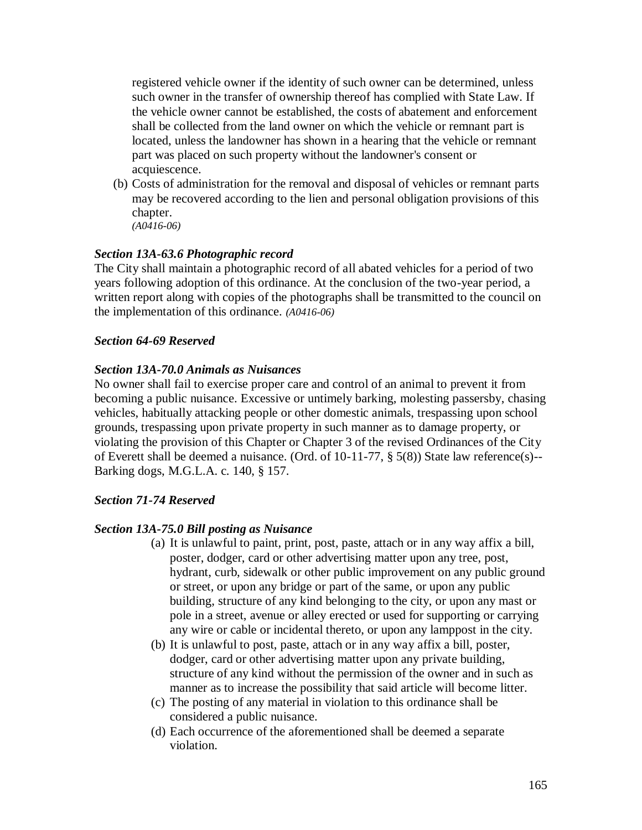registered vehicle owner if the identity of such owner can be determined, unless such owner in the transfer of ownership thereof has complied with State Law. If the vehicle owner cannot be established, the costs of abatement and enforcement shall be collected from the land owner on which the vehicle or remnant part is located, unless the landowner has shown in a hearing that the vehicle or remnant part was placed on such property without the landowner's consent or acquiescence.

(b) Costs of administration for the removal and disposal of vehicles or remnant parts may be recovered according to the lien and personal obligation provisions of this chapter.

*(A0416-06)*

## *Section 13A-63.6 Photographic record*

The City shall maintain a photographic record of all abated vehicles for a period of two years following adoption of this ordinance. At the conclusion of the two-year period, a written report along with copies of the photographs shall be transmitted to the council on the implementation of this ordinance. *(A0416-06)*

## *Section 64-69 Reserved*

## *Section 13A-70.0 Animals as Nuisances*

No owner shall fail to exercise proper care and control of an animal to prevent it from becoming a public nuisance. Excessive or untimely barking, molesting passersby, chasing vehicles, habitually attacking people or other domestic animals, trespassing upon school grounds, trespassing upon private property in such manner as to damage property, or violating the provision of this Chapter or Chapter 3 of the revised Ordinances of the City of Everett shall be deemed a nuisance. (Ord. of 10-11-77, § 5(8)) State law reference(s)-- Barking dogs, M.G.L.A. c. 140, § 157.

## *Section 71-74 Reserved*

## *Section 13A-75.0 Bill posting as Nuisance*

- (a) It is unlawful to paint, print, post, paste, attach or in any way affix a bill, poster, dodger, card or other advertising matter upon any tree, post, hydrant, curb, sidewalk or other public improvement on any public ground or street, or upon any bridge or part of the same, or upon any public building, structure of any kind belonging to the city, or upon any mast or pole in a street, avenue or alley erected or used for supporting or carrying any wire or cable or incidental thereto, or upon any lamppost in the city.
- (b) It is unlawful to post, paste, attach or in any way affix a bill, poster, dodger, card or other advertising matter upon any private building, structure of any kind without the permission of the owner and in such as manner as to increase the possibility that said article will become litter.
- (c) The posting of any material in violation to this ordinance shall be considered a public nuisance.
- (d) Each occurrence of the aforementioned shall be deemed a separate violation.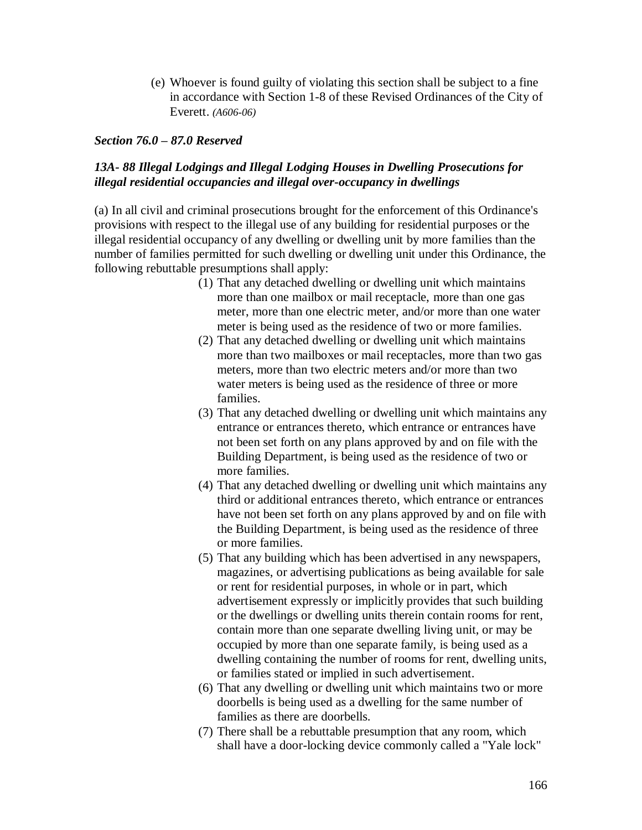(e) Whoever is found guilty of violating this section shall be subject to a fine in accordance with Section 1-8 of these Revised Ordinances of the City of Everett. *(A606-06)*

## *Section 76.0 – 87.0 Reserved*

## *13A- 88 Illegal Lodgings and Illegal Lodging Houses in Dwelling Prosecutions for illegal residential occupancies and illegal over-occupancy in dwellings*

(a) In all civil and criminal prosecutions brought for the enforcement of this Ordinance's provisions with respect to the illegal use of any building for residential purposes or the illegal residential occupancy of any dwelling or dwelling unit by more families than the number of families permitted for such dwelling or dwelling unit under this Ordinance, the following rebuttable presumptions shall apply:

- (1) That any detached dwelling or dwelling unit which maintains more than one mailbox or mail receptacle, more than one gas meter, more than one electric meter, and/or more than one water meter is being used as the residence of two or more families.
- (2) That any detached dwelling or dwelling unit which maintains more than two mailboxes or mail receptacles, more than two gas meters, more than two electric meters and/or more than two water meters is being used as the residence of three or more families.
- (3) That any detached dwelling or dwelling unit which maintains any entrance or entrances thereto, which entrance or entrances have not been set forth on any plans approved by and on file with the Building Department, is being used as the residence of two or more families.
- (4) That any detached dwelling or dwelling unit which maintains any third or additional entrances thereto, which entrance or entrances have not been set forth on any plans approved by and on file with the Building Department, is being used as the residence of three or more families.
- (5) That any building which has been advertised in any newspapers, magazines, or advertising publications as being available for sale or rent for residential purposes, in whole or in part, which advertisement expressly or implicitly provides that such building or the dwellings or dwelling units therein contain rooms for rent, contain more than one separate dwelling living unit, or may be occupied by more than one separate family, is being used as a dwelling containing the number of rooms for rent, dwelling units, or families stated or implied in such advertisement.
- (6) That any dwelling or dwelling unit which maintains two or more doorbells is being used as a dwelling for the same number of families as there are doorbells.
- (7) There shall be a rebuttable presumption that any room, which shall have a door-locking device commonly called a "Yale lock"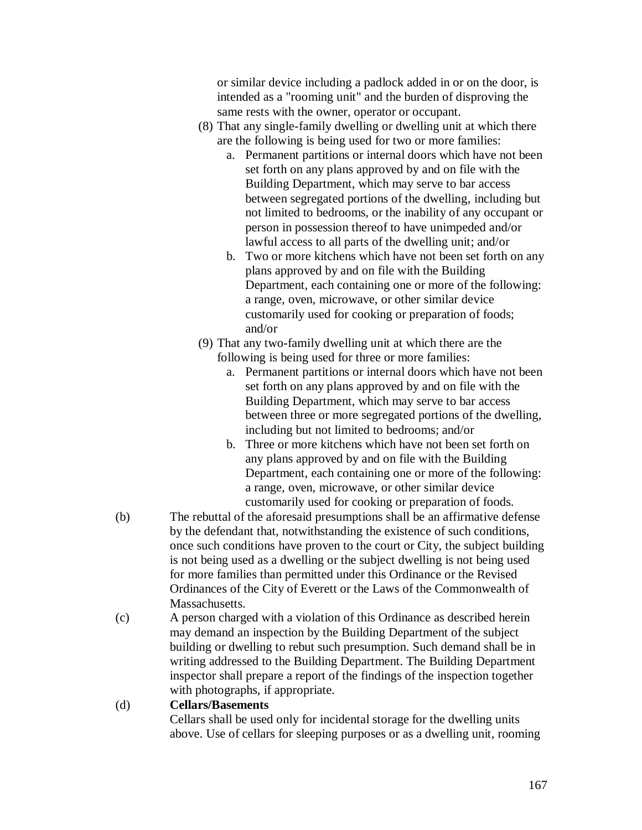or similar device including a padlock added in or on the door, is intended as a "rooming unit" and the burden of disproving the same rests with the owner, operator or occupant.

- (8) That any single-family dwelling or dwelling unit at which there are the following is being used for two or more families:
	- a. Permanent partitions or internal doors which have not been set forth on any plans approved by and on file with the Building Department, which may serve to bar access between segregated portions of the dwelling, including but not limited to bedrooms, or the inability of any occupant or person in possession thereof to have unimpeded and/or lawful access to all parts of the dwelling unit; and/or
	- b. Two or more kitchens which have not been set forth on any plans approved by and on file with the Building Department, each containing one or more of the following: a range, oven, microwave, or other similar device customarily used for cooking or preparation of foods; and/or
- (9) That any two-family dwelling unit at which there are the following is being used for three or more families:
	- a. Permanent partitions or internal doors which have not been set forth on any plans approved by and on file with the Building Department, which may serve to bar access between three or more segregated portions of the dwelling, including but not limited to bedrooms; and/or
	- b. Three or more kitchens which have not been set forth on any plans approved by and on file with the Building Department, each containing one or more of the following: a range, oven, microwave, or other similar device customarily used for cooking or preparation of foods.
- (b) The rebuttal of the aforesaid presumptions shall be an affirmative defense by the defendant that, notwithstanding the existence of such conditions, once such conditions have proven to the court or City, the subject building is not being used as a dwelling or the subject dwelling is not being used for more families than permitted under this Ordinance or the Revised Ordinances of the City of Everett or the Laws of the Commonwealth of Massachusetts.
- (c) A person charged with a violation of this Ordinance as described herein may demand an inspection by the Building Department of the subject building or dwelling to rebut such presumption. Such demand shall be in writing addressed to the Building Department. The Building Department inspector shall prepare a report of the findings of the inspection together with photographs, if appropriate.

## (d) **Cellars/Basements**

Cellars shall be used only for incidental storage for the dwelling units above. Use of cellars for sleeping purposes or as a dwelling unit, rooming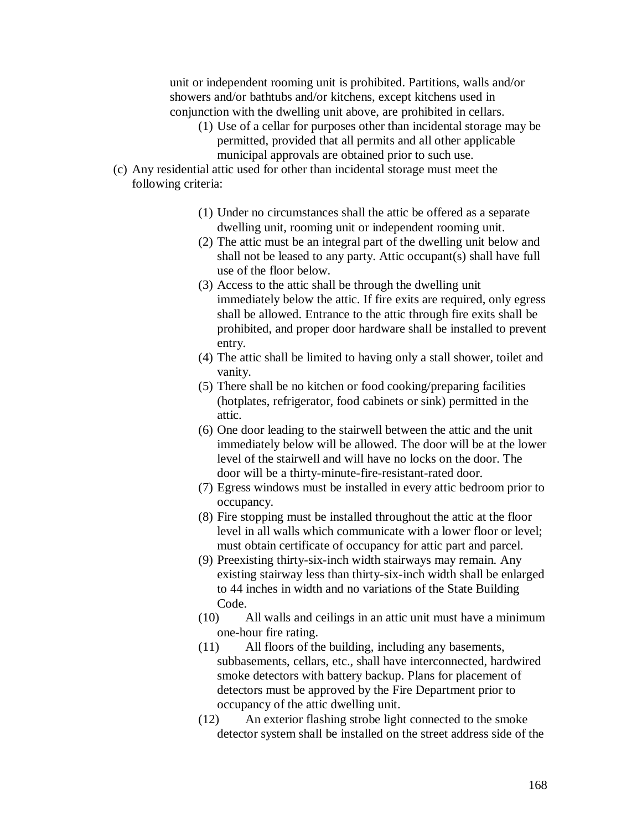unit or independent rooming unit is prohibited. Partitions, walls and/or showers and/or bathtubs and/or kitchens, except kitchens used in conjunction with the dwelling unit above, are prohibited in cellars.

- (1) Use of a cellar for purposes other than incidental storage may be permitted, provided that all permits and all other applicable municipal approvals are obtained prior to such use.
- (c) Any residential attic used for other than incidental storage must meet the following criteria:
	- (1) Under no circumstances shall the attic be offered as a separate dwelling unit, rooming unit or independent rooming unit.
	- (2) The attic must be an integral part of the dwelling unit below and shall not be leased to any party. Attic occupant(s) shall have full use of the floor below.
	- (3) Access to the attic shall be through the dwelling unit immediately below the attic. If fire exits are required, only egress shall be allowed. Entrance to the attic through fire exits shall be prohibited, and proper door hardware shall be installed to prevent entry.
	- (4) The attic shall be limited to having only a stall shower, toilet and vanity.
	- (5) There shall be no kitchen or food cooking/preparing facilities (hotplates, refrigerator, food cabinets or sink) permitted in the attic.
	- (6) One door leading to the stairwell between the attic and the unit immediately below will be allowed. The door will be at the lower level of the stairwell and will have no locks on the door. The door will be a thirty-minute-fire-resistant-rated door.
	- (7) Egress windows must be installed in every attic bedroom prior to occupancy.
	- (8) Fire stopping must be installed throughout the attic at the floor level in all walls which communicate with a lower floor or level; must obtain certificate of occupancy for attic part and parcel.
	- (9) Preexisting thirty-six-inch width stairways may remain. Any existing stairway less than thirty-six-inch width shall be enlarged to 44 inches in width and no variations of the State Building Code.
	- (10) All walls and ceilings in an attic unit must have a minimum one-hour fire rating.
	- (11) All floors of the building, including any basements, subbasements, cellars, etc., shall have interconnected, hardwired smoke detectors with battery backup. Plans for placement of detectors must be approved by the Fire Department prior to occupancy of the attic dwelling unit.
	- (12) An exterior flashing strobe light connected to the smoke detector system shall be installed on the street address side of the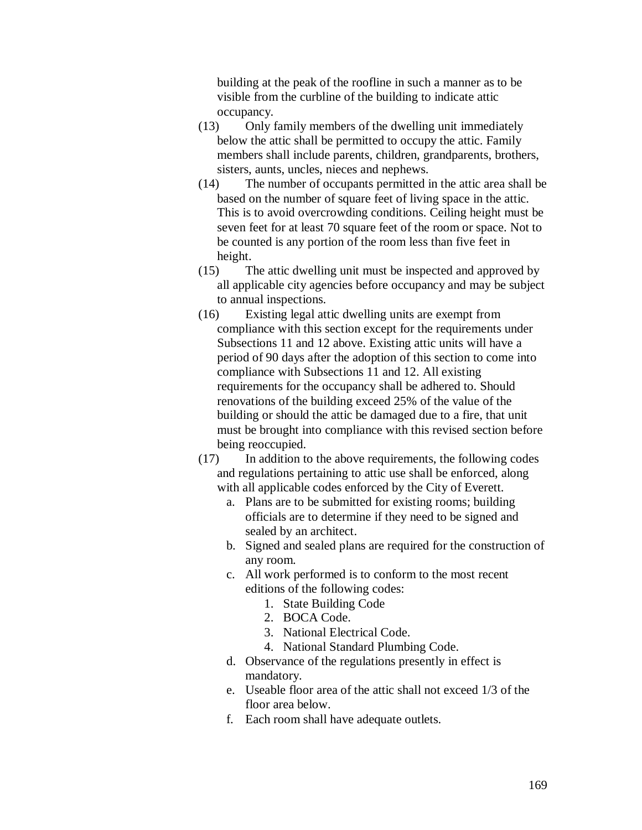building at the peak of the roofline in such a manner as to be visible from the curbline of the building to indicate attic occupancy.

- (13) Only family members of the dwelling unit immediately below the attic shall be permitted to occupy the attic. Family members shall include parents, children, grandparents, brothers, sisters, aunts, uncles, nieces and nephews.
- (14) The number of occupants permitted in the attic area shall be based on the number of square feet of living space in the attic. This is to avoid overcrowding conditions. Ceiling height must be seven feet for at least 70 square feet of the room or space. Not to be counted is any portion of the room less than five feet in height.
- (15) The attic dwelling unit must be inspected and approved by all applicable city agencies before occupancy and may be subject to annual inspections.
- (16) Existing legal attic dwelling units are exempt from compliance with this section except for the requirements under Subsections 11 and 12 above. Existing attic units will have a period of 90 days after the adoption of this section to come into compliance with Subsections 11 and 12. All existing requirements for the occupancy shall be adhered to. Should renovations of the building exceed 25% of the value of the building or should the attic be damaged due to a fire, that unit must be brought into compliance with this revised section before being reoccupied.
- (17) In addition to the above requirements, the following codes and regulations pertaining to attic use shall be enforced, along with all applicable codes enforced by the City of Everett.
	- a. Plans are to be submitted for existing rooms; building officials are to determine if they need to be signed and sealed by an architect.
	- b. Signed and sealed plans are required for the construction of any room.
	- c. All work performed is to conform to the most recent editions of the following codes:
		- 1. State Building Code
		- 2. BOCA Code.
		- 3. National Electrical Code.
		- 4. National Standard Plumbing Code.
	- d. Observance of the regulations presently in effect is mandatory.
	- e. Useable floor area of the attic shall not exceed 1/3 of the floor area below.
	- f. Each room shall have adequate outlets.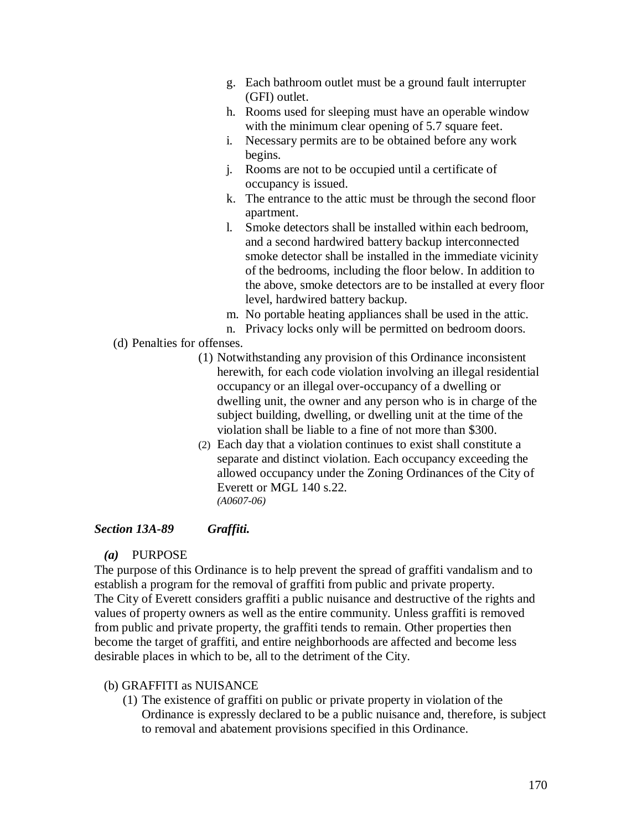- g. Each bathroom outlet must be a ground fault interrupter (GFI) outlet.
- h. Rooms used for sleeping must have an operable window with the minimum clear opening of 5.7 square feet.
- i. Necessary permits are to be obtained before any work begins.
- j. Rooms are not to be occupied until a certificate of occupancy is issued.
- k. The entrance to the attic must be through the second floor apartment.
- l. Smoke detectors shall be installed within each bedroom, and a second hardwired battery backup interconnected smoke detector shall be installed in the immediate vicinity of the bedrooms, including the floor below. In addition to the above, smoke detectors are to be installed at every floor level, hardwired battery backup.
- m. No portable heating appliances shall be used in the attic.
- n. Privacy locks only will be permitted on bedroom doors.
- (d) Penalties for offenses.
	- (1) Notwithstanding any provision of this Ordinance inconsistent herewith, for each code violation involving an illegal residential occupancy or an illegal over-occupancy of a dwelling or dwelling unit, the owner and any person who is in charge of the subject building, dwelling, or dwelling unit at the time of the violation shall be liable to a fine of not more than \$300.
	- (2) Each day that a violation continues to exist shall constitute a separate and distinct violation. Each occupancy exceeding the allowed occupancy under the Zoning Ordinances of the City of Everett or MGL 140 s.22. *(A0607-06)*

## *Section 13A-89 Graffiti.*

## *(a)* PURPOSE

The purpose of this Ordinance is to help prevent the spread of graffiti vandalism and to establish a program for the removal of graffiti from public and private property. The City of Everett considers graffiti a public nuisance and destructive of the rights and values of property owners as well as the entire community. Unless graffiti is removed from public and private property, the graffiti tends to remain. Other properties then become the target of graffiti, and entire neighborhoods are affected and become less desirable places in which to be, all to the detriment of the City.

## (b) GRAFFITI as NUISANCE

(1) The existence of graffiti on public or private property in violation of the Ordinance is expressly declared to be a public nuisance and, therefore, is subject to removal and abatement provisions specified in this Ordinance.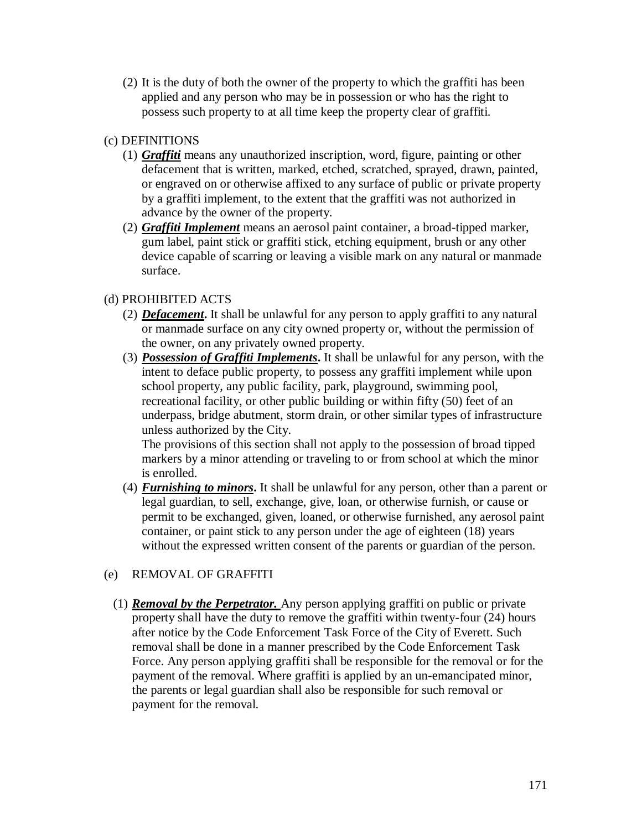(2) It is the duty of both the owner of the property to which the graffiti has been applied and any person who may be in possession or who has the right to possess such property to at all time keep the property clear of graffiti.

## (c) DEFINITIONS

- (1) *Graffiti* means any unauthorized inscription, word, figure, painting or other defacement that is written, marked, etched, scratched, sprayed, drawn, painted, or engraved on or otherwise affixed to any surface of public or private property by a graffiti implement, to the extent that the graffiti was not authorized in advance by the owner of the property.
- (2) *Graffiti Implement* means an aerosol paint container, a broad-tipped marker, gum label, paint stick or graffiti stick, etching equipment, brush or any other device capable of scarring or leaving a visible mark on any natural or manmade surface.

## (d) PROHIBITED ACTS

- (2) *Defacement***.** It shall be unlawful for any person to apply graffiti to any natural or manmade surface on any city owned property or, without the permission of the owner, on any privately owned property.
- (3) *Possession of Graffiti Implements***.** It shall be unlawful for any person, with the intent to deface public property, to possess any graffiti implement while upon school property, any public facility, park, playground, swimming pool, recreational facility, or other public building or within fifty (50) feet of an underpass, bridge abutment, storm drain, or other similar types of infrastructure unless authorized by the City.

The provisions of this section shall not apply to the possession of broad tipped markers by a minor attending or traveling to or from school at which the minor is enrolled.

(4) *Furnishing to minors***.** It shall be unlawful for any person, other than a parent or legal guardian, to sell, exchange, give, loan, or otherwise furnish, or cause or permit to be exchanged, given, loaned, or otherwise furnished, any aerosol paint container, or paint stick to any person under the age of eighteen (18) years without the expressed written consent of the parents or guardian of the person.

## (e) REMOVAL OF GRAFFITI

(1) *Removal by the Perpetrator.* Any person applying graffiti on public or private property shall have the duty to remove the graffiti within twenty-four (24) hours after notice by the Code Enforcement Task Force of the City of Everett. Such removal shall be done in a manner prescribed by the Code Enforcement Task Force. Any person applying graffiti shall be responsible for the removal or for the payment of the removal. Where graffiti is applied by an un-emancipated minor, the parents or legal guardian shall also be responsible for such removal or payment for the removal.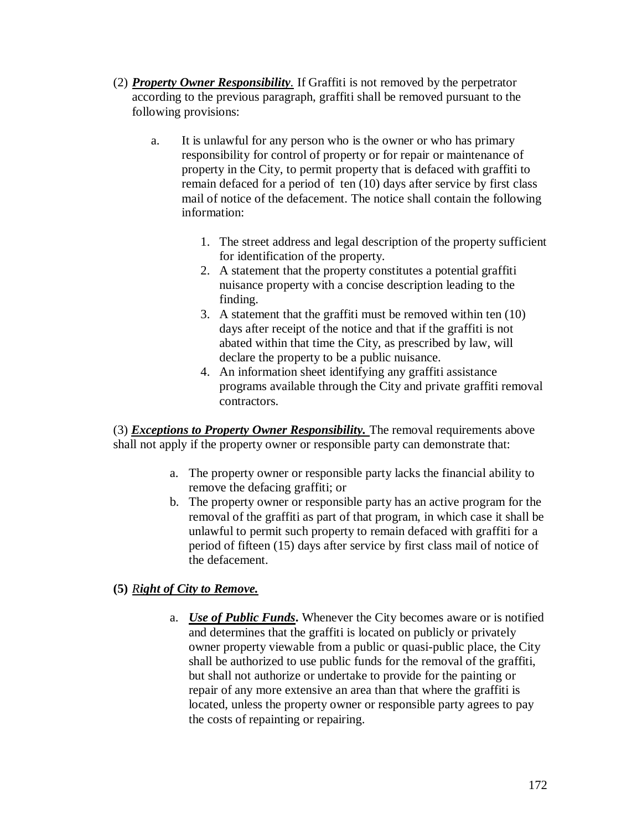- (2) *Property Owner Responsibility.* If Graffiti is not removed by the perpetrator according to the previous paragraph, graffiti shall be removed pursuant to the following provisions:
	- a. It is unlawful for any person who is the owner or who has primary responsibility for control of property or for repair or maintenance of property in the City, to permit property that is defaced with graffiti to remain defaced for a period of ten  $(10)$  days after service by first class mail of notice of the defacement. The notice shall contain the following information:
		- 1. The street address and legal description of the property sufficient for identification of the property.
		- 2. A statement that the property constitutes a potential graffiti nuisance property with a concise description leading to the finding.
		- 3. A statement that the graffiti must be removed within ten (10) days after receipt of the notice and that if the graffiti is not abated within that time the City, as prescribed by law, will declare the property to be a public nuisance.
		- 4. An information sheet identifying any graffiti assistance programs available through the City and private graffiti removal contractors.

(3) *Exceptions to Property Owner Responsibility.* The removal requirements above shall not apply if the property owner or responsible party can demonstrate that:

- a. The property owner or responsible party lacks the financial ability to remove the defacing graffiti; or
- b. The property owner or responsible party has an active program for the removal of the graffiti as part of that program, in which case it shall be unlawful to permit such property to remain defaced with graffiti for a period of fifteen (15) days after service by first class mail of notice of the defacement.

## **(5)** *Right of City to Remove.*

a. *Use of Public Funds***.** Whenever the City becomes aware or is notified and determines that the graffiti is located on publicly or privately owner property viewable from a public or quasi-public place, the City shall be authorized to use public funds for the removal of the graffiti, but shall not authorize or undertake to provide for the painting or repair of any more extensive an area than that where the graffiti is located, unless the property owner or responsible party agrees to pay the costs of repainting or repairing.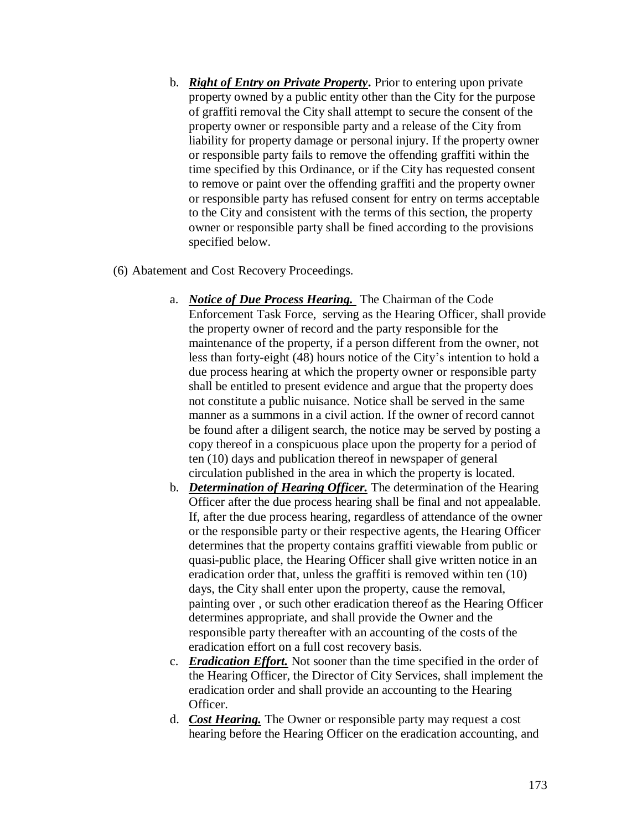- b. *Right of Entry on Private Property***.** Prior to entering upon private property owned by a public entity other than the City for the purpose of graffiti removal the City shall attempt to secure the consent of the property owner or responsible party and a release of the City from liability for property damage or personal injury. If the property owner or responsible party fails to remove the offending graffiti within the time specified by this Ordinance, or if the City has requested consent to remove or paint over the offending graffiti and the property owner or responsible party has refused consent for entry on terms acceptable to the City and consistent with the terms of this section, the property owner or responsible party shall be fined according to the provisions specified below.
- (6) Abatement and Cost Recovery Proceedings.
	- a. *Notice of Due Process Hearing.* The Chairman of the Code Enforcement Task Force, serving as the Hearing Officer, shall provide the property owner of record and the party responsible for the maintenance of the property, if a person different from the owner, not less than forty-eight (48) hours notice of the City's intention to hold a due process hearing at which the property owner or responsible party shall be entitled to present evidence and argue that the property does not constitute a public nuisance. Notice shall be served in the same manner as a summons in a civil action. If the owner of record cannot be found after a diligent search, the notice may be served by posting a copy thereof in a conspicuous place upon the property for a period of ten (10) days and publication thereof in newspaper of general circulation published in the area in which the property is located.
	- b. *Determination of Hearing Officer.* The determination of the Hearing Officer after the due process hearing shall be final and not appealable. If, after the due process hearing, regardless of attendance of the owner or the responsible party or their respective agents, the Hearing Officer determines that the property contains graffiti viewable from public or quasi-public place, the Hearing Officer shall give written notice in an eradication order that, unless the graffiti is removed within ten (10) days, the City shall enter upon the property, cause the removal, painting over , or such other eradication thereof as the Hearing Officer determines appropriate, and shall provide the Owner and the responsible party thereafter with an accounting of the costs of the eradication effort on a full cost recovery basis.
	- c. *Eradication Effort.* Not sooner than the time specified in the order of the Hearing Officer, the Director of City Services, shall implement the eradication order and shall provide an accounting to the Hearing Officer.
	- d. *Cost Hearing.* The Owner or responsible party may request a cost hearing before the Hearing Officer on the eradication accounting, and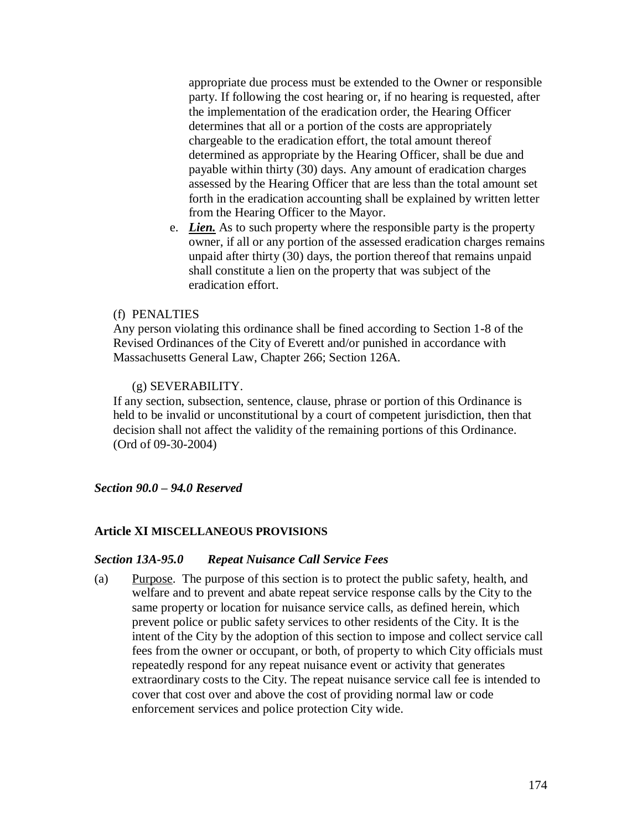appropriate due process must be extended to the Owner or responsible party. If following the cost hearing or, if no hearing is requested, after the implementation of the eradication order, the Hearing Officer determines that all or a portion of the costs are appropriately chargeable to the eradication effort, the total amount thereof determined as appropriate by the Hearing Officer, shall be due and payable within thirty (30) days. Any amount of eradication charges assessed by the Hearing Officer that are less than the total amount set forth in the eradication accounting shall be explained by written letter from the Hearing Officer to the Mayor.

e. *Lien.* As to such property where the responsible party is the property owner, if all or any portion of the assessed eradication charges remains unpaid after thirty (30) days, the portion thereof that remains unpaid shall constitute a lien on the property that was subject of the eradication effort.

#### (f) PENALTIES

Any person violating this ordinance shall be fined according to Section 1-8 of the Revised Ordinances of the City of Everett and/or punished in accordance with Massachusetts General Law, Chapter 266; Section 126A.

## (g) SEVERABILITY.

If any section, subsection, sentence, clause, phrase or portion of this Ordinance is held to be invalid or unconstitutional by a court of competent jurisdiction, then that decision shall not affect the validity of the remaining portions of this Ordinance. (Ord of 09-30-2004)

## *Section 90.0 – 94.0 Reserved*

#### **Article XI MISCELLANEOUS PROVISIONS**

#### *Section 13A-95.0 Repeat Nuisance Call Service Fees*

(a) Purpose. The purpose of this section is to protect the public safety, health, and welfare and to prevent and abate repeat service response calls by the City to the same property or location for nuisance service calls, as defined herein, which prevent police or public safety services to other residents of the City. It is the intent of the City by the adoption of this section to impose and collect service call fees from the owner or occupant, or both, of property to which City officials must repeatedly respond for any repeat nuisance event or activity that generates extraordinary costs to the City. The repeat nuisance service call fee is intended to cover that cost over and above the cost of providing normal law or code enforcement services and police protection City wide.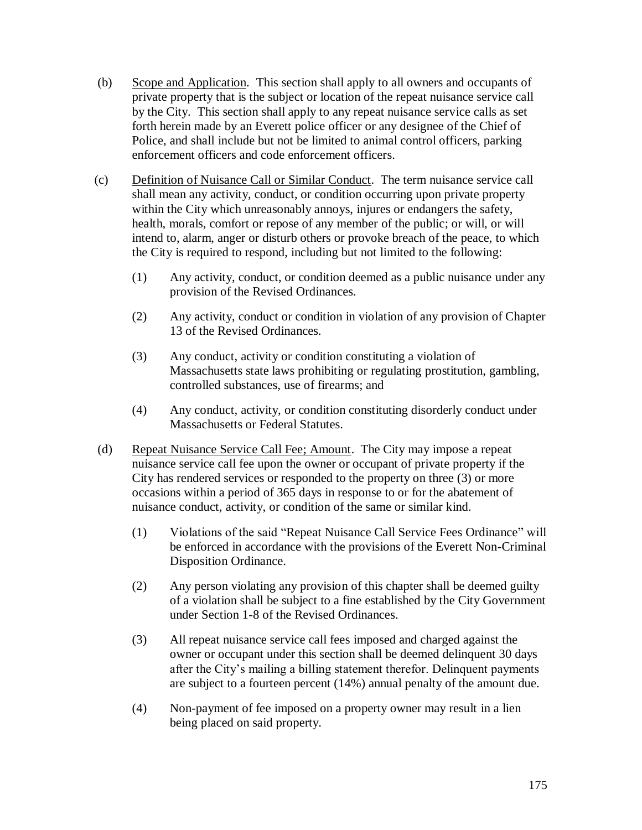- (b) Scope and Application. This section shall apply to all owners and occupants of private property that is the subject or location of the repeat nuisance service call by the City. This section shall apply to any repeat nuisance service calls as set forth herein made by an Everett police officer or any designee of the Chief of Police, and shall include but not be limited to animal control officers, parking enforcement officers and code enforcement officers.
- (c) Definition of Nuisance Call or Similar Conduct. The term nuisance service call shall mean any activity, conduct, or condition occurring upon private property within the City which unreasonably annoys, injures or endangers the safety, health, morals, comfort or repose of any member of the public; or will, or will intend to, alarm, anger or disturb others or provoke breach of the peace, to which the City is required to respond, including but not limited to the following:
	- (1) Any activity, conduct, or condition deemed as a public nuisance under any provision of the Revised Ordinances.
	- (2) Any activity, conduct or condition in violation of any provision of Chapter 13 of the Revised Ordinances.
	- (3) Any conduct, activity or condition constituting a violation of Massachusetts state laws prohibiting or regulating prostitution, gambling, controlled substances, use of firearms; and
	- (4) Any conduct, activity, or condition constituting disorderly conduct under Massachusetts or Federal Statutes.
- (d) Repeat Nuisance Service Call Fee; Amount. The City may impose a repeat nuisance service call fee upon the owner or occupant of private property if the City has rendered services or responded to the property on three (3) or more occasions within a period of 365 days in response to or for the abatement of nuisance conduct, activity, or condition of the same or similar kind.
	- (1) Violations of the said "Repeat Nuisance Call Service Fees Ordinance" will be enforced in accordance with the provisions of the Everett Non-Criminal Disposition Ordinance.
	- (2) Any person violating any provision of this chapter shall be deemed guilty of a violation shall be subject to a fine established by the City Government under Section 1-8 of the Revised Ordinances.
	- (3) All repeat nuisance service call fees imposed and charged against the owner or occupant under this section shall be deemed delinquent 30 days after the City's mailing a billing statement therefor. Delinquent payments are subject to a fourteen percent (14%) annual penalty of the amount due.
	- (4) Non-payment of fee imposed on a property owner may result in a lien being placed on said property.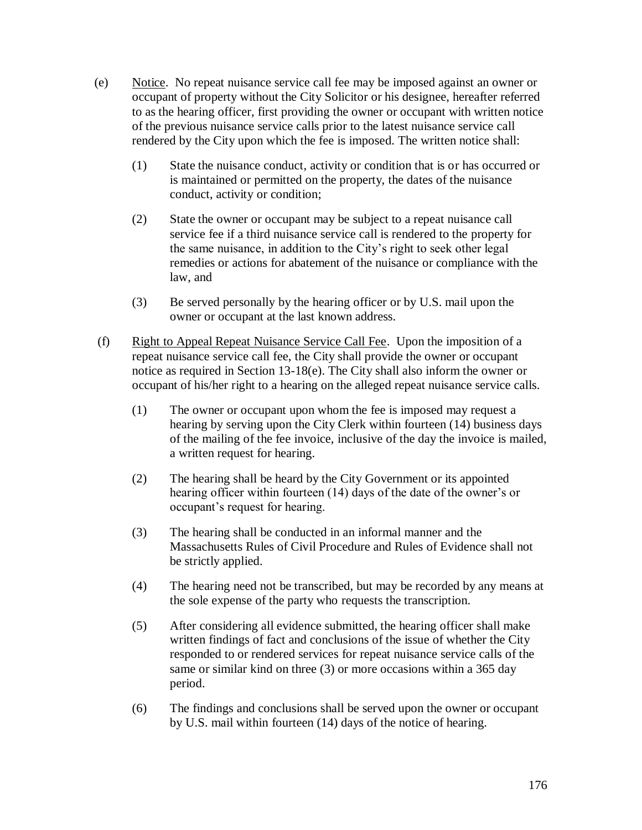- (e) Notice. No repeat nuisance service call fee may be imposed against an owner or occupant of property without the City Solicitor or his designee, hereafter referred to as the hearing officer, first providing the owner or occupant with written notice of the previous nuisance service calls prior to the latest nuisance service call rendered by the City upon which the fee is imposed. The written notice shall:
	- (1) State the nuisance conduct, activity or condition that is or has occurred or is maintained or permitted on the property, the dates of the nuisance conduct, activity or condition;
	- (2) State the owner or occupant may be subject to a repeat nuisance call service fee if a third nuisance service call is rendered to the property for the same nuisance, in addition to the City's right to seek other legal remedies or actions for abatement of the nuisance or compliance with the law, and
	- (3) Be served personally by the hearing officer or by U.S. mail upon the owner or occupant at the last known address.
- (f) Right to Appeal Repeat Nuisance Service Call Fee. Upon the imposition of a repeat nuisance service call fee, the City shall provide the owner or occupant notice as required in Section 13-18(e). The City shall also inform the owner or occupant of his/her right to a hearing on the alleged repeat nuisance service calls.
	- (1) The owner or occupant upon whom the fee is imposed may request a hearing by serving upon the City Clerk within fourteen (14) business days of the mailing of the fee invoice, inclusive of the day the invoice is mailed, a written request for hearing.
	- (2) The hearing shall be heard by the City Government or its appointed hearing officer within fourteen (14) days of the date of the owner's or occupant's request for hearing.
	- (3) The hearing shall be conducted in an informal manner and the Massachusetts Rules of Civil Procedure and Rules of Evidence shall not be strictly applied.
	- (4) The hearing need not be transcribed, but may be recorded by any means at the sole expense of the party who requests the transcription.
	- (5) After considering all evidence submitted, the hearing officer shall make written findings of fact and conclusions of the issue of whether the City responded to or rendered services for repeat nuisance service calls of the same or similar kind on three (3) or more occasions within a 365 day period.
	- (6) The findings and conclusions shall be served upon the owner or occupant by U.S. mail within fourteen (14) days of the notice of hearing.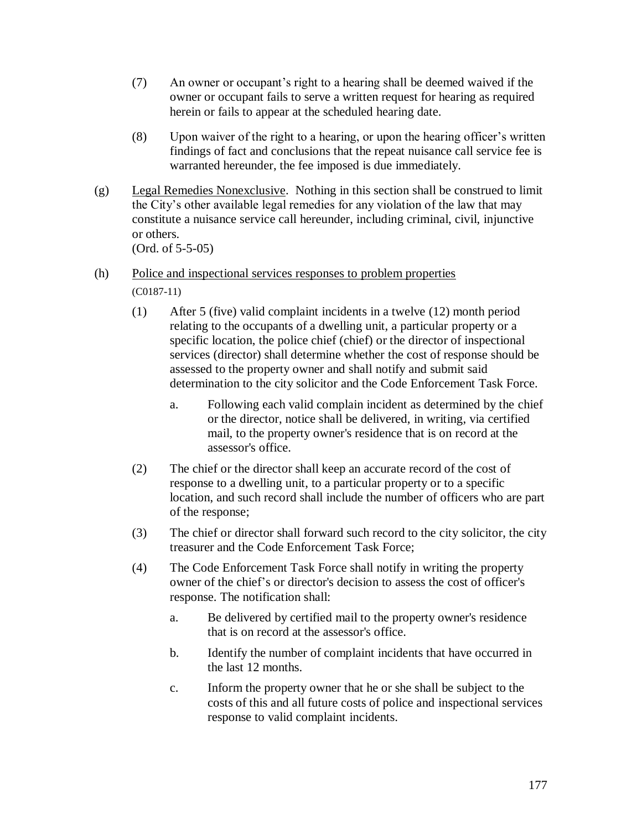- (7) An owner or occupant's right to a hearing shall be deemed waived if the owner or occupant fails to serve a written request for hearing as required herein or fails to appear at the scheduled hearing date.
- (8) Upon waiver of the right to a hearing, or upon the hearing officer's written findings of fact and conclusions that the repeat nuisance call service fee is warranted hereunder, the fee imposed is due immediately.
- (g) Legal Remedies Nonexclusive. Nothing in this section shall be construed to limit the City's other available legal remedies for any violation of the law that may constitute a nuisance service call hereunder, including criminal, civil, injunctive or others. (Ord. of 5-5-05)
- (h) Police and inspectional services responses to problem properties (C0187-11)
	- (1) After 5 (five) valid complaint incidents in a twelve (12) month period relating to the occupants of a dwelling unit, a particular property or a specific location, the police chief (chief) or the director of inspectional services (director) shall determine whether the cost of response should be assessed to the property owner and shall notify and submit said determination to the city solicitor and the Code Enforcement Task Force.
		- a. Following each valid complain incident as determined by the chief or the director, notice shall be delivered, in writing, via certified mail, to the property owner's residence that is on record at the assessor's office.
	- (2) The chief or the director shall keep an accurate record of the cost of response to a dwelling unit, to a particular property or to a specific location, and such record shall include the number of officers who are part of the response;
	- (3) The chief or director shall forward such record to the city solicitor, the city treasurer and the Code Enforcement Task Force;
	- (4) The Code Enforcement Task Force shall notify in writing the property owner of the chief's or director's decision to assess the cost of officer's response. The notification shall:
		- a. Be delivered by certified mail to the property owner's residence that is on record at the assessor's office.
		- b. Identify the number of complaint incidents that have occurred in the last 12 months.
		- c. Inform the property owner that he or she shall be subject to the costs of this and all future costs of police and inspectional services response to valid complaint incidents.